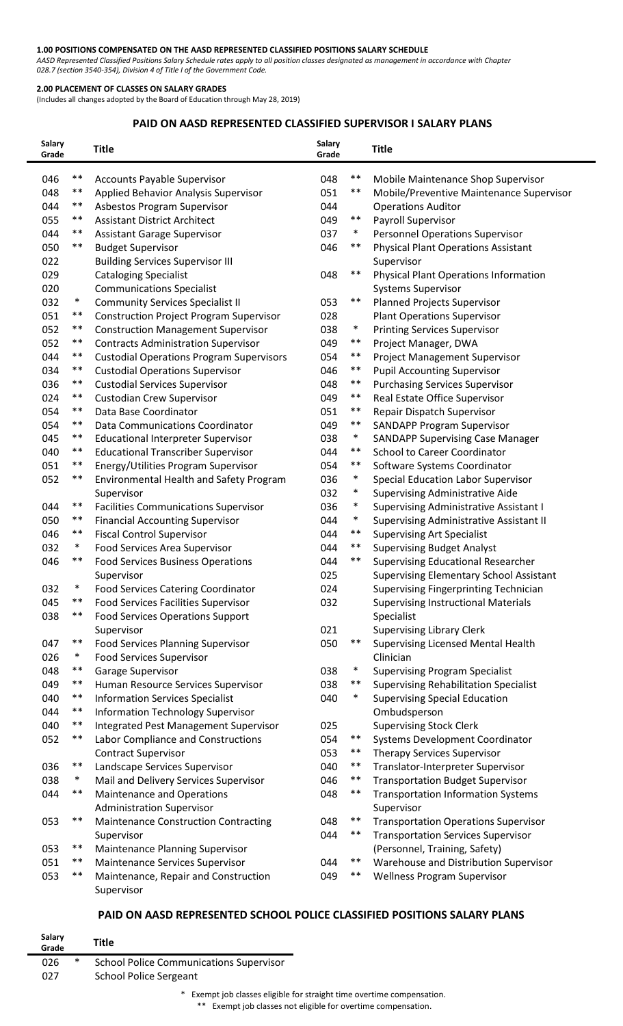#### **1.00 POSITIONS COMPENSATED ON THE AASD REPRESENTED CLASSIFIED POSITIONS SALARY SCHEDULE**

*AASD Represented Classified Positions Salary Schedule rates apply to all position classes designated as management in accordance with Chapter 028.7 (section 3540-354), Division 4 of Title I of the Government Code.* 

#### **2.00 PLACEMENT OF CLASSES ON SALARY GRADES**

(Includes all changes adopted by the Board of Education through May 28, 2019)

#### **PAID ON AASD REPRESENTED CLASSIFIED SUPERVISOR I SALARY PLANS**

| <b>Salary</b><br>Grade |        | <b>Title</b>                                    | Salary<br>Grade |        | <b>Title</b>                                   |
|------------------------|--------|-------------------------------------------------|-----------------|--------|------------------------------------------------|
| 046                    | $***$  | <b>Accounts Payable Supervisor</b>              | 048             | $***$  | Mobile Maintenance Shop Supervisor             |
| 048                    | $***$  | Applied Behavior Analysis Supervisor            | 051             | $***$  | Mobile/Preventive Maintenance Supervisor       |
| 044                    | $***$  | Asbestos Program Supervisor                     | 044             |        | <b>Operations Auditor</b>                      |
| 055                    | $***$  | <b>Assistant District Architect</b>             | 049             | $***$  | Payroll Supervisor                             |
| 044                    | $***$  | <b>Assistant Garage Supervisor</b>              | 037             | $\ast$ | <b>Personnel Operations Supervisor</b>         |
| 050                    | $***$  | <b>Budget Supervisor</b>                        | 046             | $***$  | <b>Physical Plant Operations Assistant</b>     |
| 022                    |        | <b>Building Services Supervisor III</b>         |                 |        | Supervisor                                     |
| 029                    |        | <b>Cataloging Specialist</b>                    | 048             | $***$  | <b>Physical Plant Operations Information</b>   |
| 020                    |        | <b>Communications Specialist</b>                |                 |        | <b>Systems Supervisor</b>                      |
| 032                    | $\ast$ | <b>Community Services Specialist II</b>         | 053             | $***$  | <b>Planned Projects Supervisor</b>             |
| 051                    | $***$  | <b>Construction Project Program Supervisor</b>  | 028             |        | <b>Plant Operations Supervisor</b>             |
| 052                    | $***$  | <b>Construction Management Supervisor</b>       | 038             | $\ast$ | <b>Printing Services Supervisor</b>            |
| 052                    | $***$  | <b>Contracts Administration Supervisor</b>      | 049             | $***$  | Project Manager, DWA                           |
| 044                    | $***$  | <b>Custodial Operations Program Supervisors</b> | 054             | $***$  | Project Management Supervisor                  |
| 034                    | $***$  | <b>Custodial Operations Supervisor</b>          | 046             | $***$  | <b>Pupil Accounting Supervisor</b>             |
| 036                    | $***$  | <b>Custodial Services Supervisor</b>            | 048             | $***$  | <b>Purchasing Services Supervisor</b>          |
| 024                    | $***$  | <b>Custodian Crew Supervisor</b>                | 049             | $***$  | Real Estate Office Supervisor                  |
| 054                    | $***$  | Data Base Coordinator                           | 051             | $***$  | Repair Dispatch Supervisor                     |
| 054                    | $***$  | Data Communications Coordinator                 | 049             | $***$  | <b>SANDAPP Program Supervisor</b>              |
| 045                    | $***$  | <b>Educational Interpreter Supervisor</b>       | 038             | $\ast$ | <b>SANDAPP Supervising Case Manager</b>        |
| 040                    | $***$  | <b>Educational Transcriber Supervisor</b>       | 044             | $***$  | <b>School to Career Coordinator</b>            |
| 051                    | $***$  | Energy/Utilities Program Supervisor             | 054             | **     | Software Systems Coordinator                   |
| 052                    | $***$  | Environmental Health and Safety Program         | 036             | $\ast$ | Special Education Labor Supervisor             |
|                        |        | Supervisor                                      | 032             | $\ast$ | <b>Supervising Administrative Aide</b>         |
| 044                    | $***$  | <b>Facilities Communications Supervisor</b>     | 036             | $\ast$ | <b>Supervising Administrative Assistant I</b>  |
| 050                    | $***$  | <b>Financial Accounting Supervisor</b>          | 044             | $\ast$ | Supervising Administrative Assistant II        |
| 046                    | $***$  | <b>Fiscal Control Supervisor</b>                | 044             | $***$  | <b>Supervising Art Specialist</b>              |
| 032                    | $\ast$ | Food Services Area Supervisor                   | 044             | $***$  | <b>Supervising Budget Analyst</b>              |
| 046                    | $***$  | <b>Food Services Business Operations</b>        | 044             | $***$  | <b>Supervising Educational Researcher</b>      |
|                        |        | Supervisor                                      | 025             |        | <b>Supervising Elementary School Assistant</b> |
| 032                    | ∗      | <b>Food Services Catering Coordinator</b>       | 024             |        | Supervising Fingerprinting Technician          |
| 045                    | $***$  | <b>Food Services Facilities Supervisor</b>      | 032             |        | <b>Supervising Instructional Materials</b>     |
| 038                    | $***$  | <b>Food Services Operations Support</b>         |                 |        | Specialist                                     |
|                        |        | Supervisor                                      | 021             |        | <b>Supervising Library Clerk</b>               |
| 047                    | $***$  | <b>Food Services Planning Supervisor</b>        | 050             | $***$  | Supervising Licensed Mental Health             |
| 026                    | $\ast$ | <b>Food Services Supervisor</b>                 |                 |        | Clinician                                      |
| 048                    | $***$  | Garage Supervisor                               | 038             | $\ast$ | <b>Supervising Program Specialist</b>          |
| 049                    | $***$  | Human Resource Services Supervisor              | 038             | $***$  | <b>Supervising Rehabilitation Specialist</b>   |
| 040                    | $***$  | <b>Information Services Specialist</b>          | 040             | $\ast$ | <b>Supervising Special Education</b>           |
| 044                    | $***$  | <b>Information Technology Supervisor</b>        |                 |        | Ombudsperson                                   |
| 040                    | $***$  | Integrated Pest Management Supervisor           | 025             |        | <b>Supervising Stock Clerk</b>                 |
| 052                    | $***$  | Labor Compliance and Constructions              | 054             | $***$  | Systems Development Coordinator                |
|                        |        | <b>Contract Supervisor</b>                      | 053             | $***$  | <b>Therapy Services Supervisor</b>             |
| 036                    | $***$  | Landscape Services Supervisor                   | 040             | $***$  | Translator-Interpreter Supervisor              |
| 038                    | $\ast$ | Mail and Delivery Services Supervisor           | 046             | $***$  | <b>Transportation Budget Supervisor</b>        |
| 044                    | $***$  | <b>Maintenance and Operations</b>               | 048             | $***$  | <b>Transportation Information Systems</b>      |
|                        |        | <b>Administration Supervisor</b>                |                 |        | Supervisor                                     |
| 053                    | $***$  | <b>Maintenance Construction Contracting</b>     | 048             | $***$  | <b>Transportation Operations Supervisor</b>    |
|                        |        | Supervisor                                      | 044             | $***$  | <b>Transportation Services Supervisor</b>      |
| 053                    | $***$  | <b>Maintenance Planning Supervisor</b>          |                 |        | (Personnel, Training, Safety)                  |
| 051                    | $***$  | Maintenance Services Supervisor                 | 044             | $***$  | Warehouse and Distribution Supervisor          |
| 053                    | $***$  | Maintenance, Repair and Construction            | 049             | $***$  | <b>Wellness Program Supervisor</b>             |
|                        |        | Supervisor                                      |                 |        |                                                |

# **PAID ON AASD REPRESENTED SCHOOL POLICE CLASSIFIED POSITIONS SALARY PLANS**

| Salary<br>Grade | Title                                          |
|-----------------|------------------------------------------------|
| ∗<br>026        | <b>School Police Communications Supervisor</b> |
| 027             | <b>School Police Sergeant</b>                  |

\* Exempt job classes eligible for straight time overtime compensation.

\*\* Exempt job classes not eligible for overtime compensation.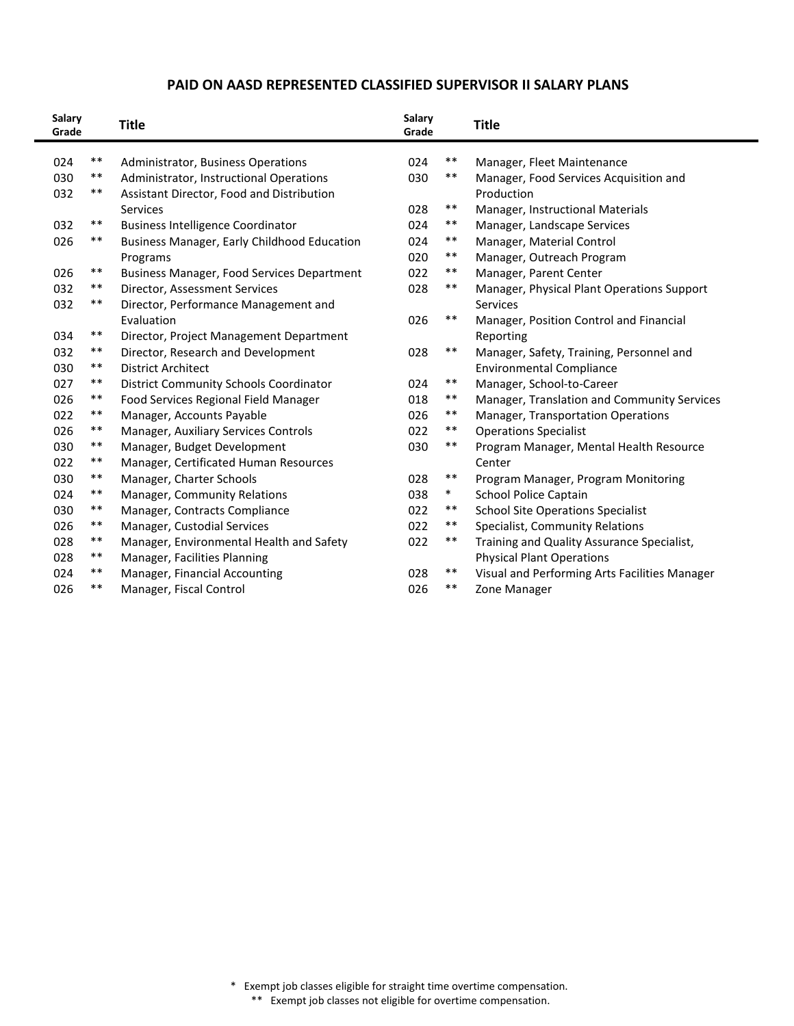## **PAID ON AASD REPRESENTED CLASSIFIED SUPERVISOR II SALARY PLANS**

| $***$<br>$***$<br>024<br>Administrator, Business Operations<br>024<br>Manager, Fleet Maintenance<br>$***$<br>030<br>$***$<br>030<br>Administrator, Instructional Operations<br>Manager, Food Services Acquisition and<br>032<br>$***$<br>Assistant Director, Food and Distribution<br>Production<br>$\ast\ast$<br>028<br>Services<br>Manager, Instructional Materials<br>$***$<br>$***$<br>032<br><b>Business Intelligence Coordinator</b><br>024<br>Manager, Landscape Services<br>$***$<br>$***$<br>Business Manager, Early Childhood Education<br>024<br>Manager, Material Control<br>026<br>$\ast\ast$<br>020<br>Manager, Outreach Program<br>Programs<br>$***$<br>$***$<br>022<br>026<br>Business Manager, Food Services Department<br>Manager, Parent Center<br>$***$<br>028<br>$***$<br>032<br>Director, Assessment Services<br>Manager, Physical Plant Operations Support<br>$***$<br>032<br>Director, Performance Management and<br><b>Services</b><br>$***$<br>026<br>Evaluation<br>Manager, Position Control and Financial<br>$***$<br>034<br>Director, Project Management Department<br>Reporting<br>032<br>$***$<br>$***$<br>Director, Research and Development<br>028<br>Manager, Safety, Training, Personnel and<br>$***$<br>030<br><b>District Architect</b><br><b>Environmental Compliance</b><br>$***$<br>$***$<br>027<br><b>District Community Schools Coordinator</b><br>024<br>Manager, School-to-Career<br>$***$<br>$***$<br>026<br>018<br>Manager, Translation and Community Services<br>Food Services Regional Field Manager<br>$***$<br>$***$<br>022<br>Manager, Accounts Payable<br>026<br>Manager, Transportation Operations<br>$***$<br>026<br>$***$<br>Manager, Auxiliary Services Controls<br>022<br><b>Operations Specialist</b><br>$***$<br>$***$<br>Manager, Budget Development<br>030<br>Program Manager, Mental Health Resource<br>030<br>$***$<br>022<br>Manager, Certificated Human Resources<br>Center<br>$***$<br>030<br>028<br>$***$<br>Manager, Charter Schools<br>Program Manager, Program Monitoring<br>$***$<br>$\ast$<br>Manager, Community Relations<br>038<br><b>School Police Captain</b><br>024<br>$***$<br>$***$<br>030<br>022<br><b>School Site Operations Specialist</b><br>Manager, Contracts Compliance<br>$***$<br>$***$<br>022<br>Specialist, Community Relations<br>026<br>Manager, Custodial Services<br>$***$<br>$***$<br>028<br>Manager, Environmental Health and Safety<br>022<br>Training and Quality Assurance Specialist,<br>$***$<br>Manager, Facilities Planning<br>028<br><b>Physical Plant Operations</b><br>**<br>Manager, Financial Accounting<br>028<br>$***$<br>Visual and Performing Arts Facilities Manager<br>024<br>$***$<br>026<br>$***$<br>026<br>Manager, Fiscal Control<br>Zone Manager | Salary<br>Grade | <b>Title</b> | <b>Salary</b><br>Grade | <b>Title</b> |
|-------------------------------------------------------------------------------------------------------------------------------------------------------------------------------------------------------------------------------------------------------------------------------------------------------------------------------------------------------------------------------------------------------------------------------------------------------------------------------------------------------------------------------------------------------------------------------------------------------------------------------------------------------------------------------------------------------------------------------------------------------------------------------------------------------------------------------------------------------------------------------------------------------------------------------------------------------------------------------------------------------------------------------------------------------------------------------------------------------------------------------------------------------------------------------------------------------------------------------------------------------------------------------------------------------------------------------------------------------------------------------------------------------------------------------------------------------------------------------------------------------------------------------------------------------------------------------------------------------------------------------------------------------------------------------------------------------------------------------------------------------------------------------------------------------------------------------------------------------------------------------------------------------------------------------------------------------------------------------------------------------------------------------------------------------------------------------------------------------------------------------------------------------------------------------------------------------------------------------------------------------------------------------------------------------------------------------------------------------------------------------------------------------------------------------------------------------------------------------------------------------------------------------------------------------------------------------------------------------------------------------------------------------------------------------------------------------------------------------------------------------------------------|-----------------|--------------|------------------------|--------------|
|                                                                                                                                                                                                                                                                                                                                                                                                                                                                                                                                                                                                                                                                                                                                                                                                                                                                                                                                                                                                                                                                                                                                                                                                                                                                                                                                                                                                                                                                                                                                                                                                                                                                                                                                                                                                                                                                                                                                                                                                                                                                                                                                                                                                                                                                                                                                                                                                                                                                                                                                                                                                                                                                                                                                                                         |                 |              |                        |              |
|                                                                                                                                                                                                                                                                                                                                                                                                                                                                                                                                                                                                                                                                                                                                                                                                                                                                                                                                                                                                                                                                                                                                                                                                                                                                                                                                                                                                                                                                                                                                                                                                                                                                                                                                                                                                                                                                                                                                                                                                                                                                                                                                                                                                                                                                                                                                                                                                                                                                                                                                                                                                                                                                                                                                                                         |                 |              |                        |              |
|                                                                                                                                                                                                                                                                                                                                                                                                                                                                                                                                                                                                                                                                                                                                                                                                                                                                                                                                                                                                                                                                                                                                                                                                                                                                                                                                                                                                                                                                                                                                                                                                                                                                                                                                                                                                                                                                                                                                                                                                                                                                                                                                                                                                                                                                                                                                                                                                                                                                                                                                                                                                                                                                                                                                                                         |                 |              |                        |              |
|                                                                                                                                                                                                                                                                                                                                                                                                                                                                                                                                                                                                                                                                                                                                                                                                                                                                                                                                                                                                                                                                                                                                                                                                                                                                                                                                                                                                                                                                                                                                                                                                                                                                                                                                                                                                                                                                                                                                                                                                                                                                                                                                                                                                                                                                                                                                                                                                                                                                                                                                                                                                                                                                                                                                                                         |                 |              |                        |              |
|                                                                                                                                                                                                                                                                                                                                                                                                                                                                                                                                                                                                                                                                                                                                                                                                                                                                                                                                                                                                                                                                                                                                                                                                                                                                                                                                                                                                                                                                                                                                                                                                                                                                                                                                                                                                                                                                                                                                                                                                                                                                                                                                                                                                                                                                                                                                                                                                                                                                                                                                                                                                                                                                                                                                                                         |                 |              |                        |              |
|                                                                                                                                                                                                                                                                                                                                                                                                                                                                                                                                                                                                                                                                                                                                                                                                                                                                                                                                                                                                                                                                                                                                                                                                                                                                                                                                                                                                                                                                                                                                                                                                                                                                                                                                                                                                                                                                                                                                                                                                                                                                                                                                                                                                                                                                                                                                                                                                                                                                                                                                                                                                                                                                                                                                                                         |                 |              |                        |              |
|                                                                                                                                                                                                                                                                                                                                                                                                                                                                                                                                                                                                                                                                                                                                                                                                                                                                                                                                                                                                                                                                                                                                                                                                                                                                                                                                                                                                                                                                                                                                                                                                                                                                                                                                                                                                                                                                                                                                                                                                                                                                                                                                                                                                                                                                                                                                                                                                                                                                                                                                                                                                                                                                                                                                                                         |                 |              |                        |              |
|                                                                                                                                                                                                                                                                                                                                                                                                                                                                                                                                                                                                                                                                                                                                                                                                                                                                                                                                                                                                                                                                                                                                                                                                                                                                                                                                                                                                                                                                                                                                                                                                                                                                                                                                                                                                                                                                                                                                                                                                                                                                                                                                                                                                                                                                                                                                                                                                                                                                                                                                                                                                                                                                                                                                                                         |                 |              |                        |              |
|                                                                                                                                                                                                                                                                                                                                                                                                                                                                                                                                                                                                                                                                                                                                                                                                                                                                                                                                                                                                                                                                                                                                                                                                                                                                                                                                                                                                                                                                                                                                                                                                                                                                                                                                                                                                                                                                                                                                                                                                                                                                                                                                                                                                                                                                                                                                                                                                                                                                                                                                                                                                                                                                                                                                                                         |                 |              |                        |              |
|                                                                                                                                                                                                                                                                                                                                                                                                                                                                                                                                                                                                                                                                                                                                                                                                                                                                                                                                                                                                                                                                                                                                                                                                                                                                                                                                                                                                                                                                                                                                                                                                                                                                                                                                                                                                                                                                                                                                                                                                                                                                                                                                                                                                                                                                                                                                                                                                                                                                                                                                                                                                                                                                                                                                                                         |                 |              |                        |              |
|                                                                                                                                                                                                                                                                                                                                                                                                                                                                                                                                                                                                                                                                                                                                                                                                                                                                                                                                                                                                                                                                                                                                                                                                                                                                                                                                                                                                                                                                                                                                                                                                                                                                                                                                                                                                                                                                                                                                                                                                                                                                                                                                                                                                                                                                                                                                                                                                                                                                                                                                                                                                                                                                                                                                                                         |                 |              |                        |              |
|                                                                                                                                                                                                                                                                                                                                                                                                                                                                                                                                                                                                                                                                                                                                                                                                                                                                                                                                                                                                                                                                                                                                                                                                                                                                                                                                                                                                                                                                                                                                                                                                                                                                                                                                                                                                                                                                                                                                                                                                                                                                                                                                                                                                                                                                                                                                                                                                                                                                                                                                                                                                                                                                                                                                                                         |                 |              |                        |              |
|                                                                                                                                                                                                                                                                                                                                                                                                                                                                                                                                                                                                                                                                                                                                                                                                                                                                                                                                                                                                                                                                                                                                                                                                                                                                                                                                                                                                                                                                                                                                                                                                                                                                                                                                                                                                                                                                                                                                                                                                                                                                                                                                                                                                                                                                                                                                                                                                                                                                                                                                                                                                                                                                                                                                                                         |                 |              |                        |              |
|                                                                                                                                                                                                                                                                                                                                                                                                                                                                                                                                                                                                                                                                                                                                                                                                                                                                                                                                                                                                                                                                                                                                                                                                                                                                                                                                                                                                                                                                                                                                                                                                                                                                                                                                                                                                                                                                                                                                                                                                                                                                                                                                                                                                                                                                                                                                                                                                                                                                                                                                                                                                                                                                                                                                                                         |                 |              |                        |              |
|                                                                                                                                                                                                                                                                                                                                                                                                                                                                                                                                                                                                                                                                                                                                                                                                                                                                                                                                                                                                                                                                                                                                                                                                                                                                                                                                                                                                                                                                                                                                                                                                                                                                                                                                                                                                                                                                                                                                                                                                                                                                                                                                                                                                                                                                                                                                                                                                                                                                                                                                                                                                                                                                                                                                                                         |                 |              |                        |              |
|                                                                                                                                                                                                                                                                                                                                                                                                                                                                                                                                                                                                                                                                                                                                                                                                                                                                                                                                                                                                                                                                                                                                                                                                                                                                                                                                                                                                                                                                                                                                                                                                                                                                                                                                                                                                                                                                                                                                                                                                                                                                                                                                                                                                                                                                                                                                                                                                                                                                                                                                                                                                                                                                                                                                                                         |                 |              |                        |              |
|                                                                                                                                                                                                                                                                                                                                                                                                                                                                                                                                                                                                                                                                                                                                                                                                                                                                                                                                                                                                                                                                                                                                                                                                                                                                                                                                                                                                                                                                                                                                                                                                                                                                                                                                                                                                                                                                                                                                                                                                                                                                                                                                                                                                                                                                                                                                                                                                                                                                                                                                                                                                                                                                                                                                                                         |                 |              |                        |              |
|                                                                                                                                                                                                                                                                                                                                                                                                                                                                                                                                                                                                                                                                                                                                                                                                                                                                                                                                                                                                                                                                                                                                                                                                                                                                                                                                                                                                                                                                                                                                                                                                                                                                                                                                                                                                                                                                                                                                                                                                                                                                                                                                                                                                                                                                                                                                                                                                                                                                                                                                                                                                                                                                                                                                                                         |                 |              |                        |              |
|                                                                                                                                                                                                                                                                                                                                                                                                                                                                                                                                                                                                                                                                                                                                                                                                                                                                                                                                                                                                                                                                                                                                                                                                                                                                                                                                                                                                                                                                                                                                                                                                                                                                                                                                                                                                                                                                                                                                                                                                                                                                                                                                                                                                                                                                                                                                                                                                                                                                                                                                                                                                                                                                                                                                                                         |                 |              |                        |              |
|                                                                                                                                                                                                                                                                                                                                                                                                                                                                                                                                                                                                                                                                                                                                                                                                                                                                                                                                                                                                                                                                                                                                                                                                                                                                                                                                                                                                                                                                                                                                                                                                                                                                                                                                                                                                                                                                                                                                                                                                                                                                                                                                                                                                                                                                                                                                                                                                                                                                                                                                                                                                                                                                                                                                                                         |                 |              |                        |              |
|                                                                                                                                                                                                                                                                                                                                                                                                                                                                                                                                                                                                                                                                                                                                                                                                                                                                                                                                                                                                                                                                                                                                                                                                                                                                                                                                                                                                                                                                                                                                                                                                                                                                                                                                                                                                                                                                                                                                                                                                                                                                                                                                                                                                                                                                                                                                                                                                                                                                                                                                                                                                                                                                                                                                                                         |                 |              |                        |              |
|                                                                                                                                                                                                                                                                                                                                                                                                                                                                                                                                                                                                                                                                                                                                                                                                                                                                                                                                                                                                                                                                                                                                                                                                                                                                                                                                                                                                                                                                                                                                                                                                                                                                                                                                                                                                                                                                                                                                                                                                                                                                                                                                                                                                                                                                                                                                                                                                                                                                                                                                                                                                                                                                                                                                                                         |                 |              |                        |              |
|                                                                                                                                                                                                                                                                                                                                                                                                                                                                                                                                                                                                                                                                                                                                                                                                                                                                                                                                                                                                                                                                                                                                                                                                                                                                                                                                                                                                                                                                                                                                                                                                                                                                                                                                                                                                                                                                                                                                                                                                                                                                                                                                                                                                                                                                                                                                                                                                                                                                                                                                                                                                                                                                                                                                                                         |                 |              |                        |              |
|                                                                                                                                                                                                                                                                                                                                                                                                                                                                                                                                                                                                                                                                                                                                                                                                                                                                                                                                                                                                                                                                                                                                                                                                                                                                                                                                                                                                                                                                                                                                                                                                                                                                                                                                                                                                                                                                                                                                                                                                                                                                                                                                                                                                                                                                                                                                                                                                                                                                                                                                                                                                                                                                                                                                                                         |                 |              |                        |              |
|                                                                                                                                                                                                                                                                                                                                                                                                                                                                                                                                                                                                                                                                                                                                                                                                                                                                                                                                                                                                                                                                                                                                                                                                                                                                                                                                                                                                                                                                                                                                                                                                                                                                                                                                                                                                                                                                                                                                                                                                                                                                                                                                                                                                                                                                                                                                                                                                                                                                                                                                                                                                                                                                                                                                                                         |                 |              |                        |              |
|                                                                                                                                                                                                                                                                                                                                                                                                                                                                                                                                                                                                                                                                                                                                                                                                                                                                                                                                                                                                                                                                                                                                                                                                                                                                                                                                                                                                                                                                                                                                                                                                                                                                                                                                                                                                                                                                                                                                                                                                                                                                                                                                                                                                                                                                                                                                                                                                                                                                                                                                                                                                                                                                                                                                                                         |                 |              |                        |              |
|                                                                                                                                                                                                                                                                                                                                                                                                                                                                                                                                                                                                                                                                                                                                                                                                                                                                                                                                                                                                                                                                                                                                                                                                                                                                                                                                                                                                                                                                                                                                                                                                                                                                                                                                                                                                                                                                                                                                                                                                                                                                                                                                                                                                                                                                                                                                                                                                                                                                                                                                                                                                                                                                                                                                                                         |                 |              |                        |              |
|                                                                                                                                                                                                                                                                                                                                                                                                                                                                                                                                                                                                                                                                                                                                                                                                                                                                                                                                                                                                                                                                                                                                                                                                                                                                                                                                                                                                                                                                                                                                                                                                                                                                                                                                                                                                                                                                                                                                                                                                                                                                                                                                                                                                                                                                                                                                                                                                                                                                                                                                                                                                                                                                                                                                                                         |                 |              |                        |              |

 \* Exempt job classes eligible for straight time overtime compensation. \*\* Exempt job classes not eligible for overtime compensation.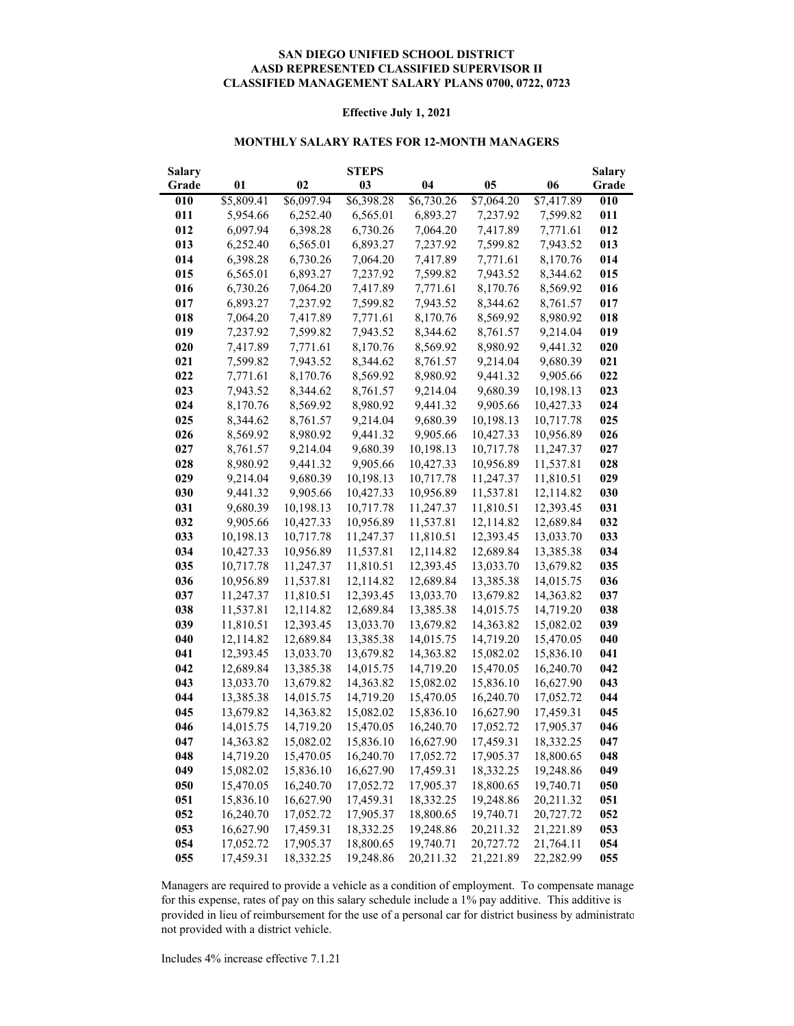#### **CLASSIFIED MANAGEMENT SALARY PLANS 0700, 0722, 0723 SAN DIEGO UNIFIED SCHOOL DISTRICT AASD REPRESENTED CLASSIFIED SUPERVISOR II**

#### **Effective July 1, 2021**

#### **MONTHLY SALARY RATES FOR 12-MONTH MANAGERS**

| <b>Salary</b> |            |            | <b>STEPS</b> |            |            |            | <b>Salary</b> |
|---------------|------------|------------|--------------|------------|------------|------------|---------------|
| Grade         | 01         | 02         | 03           | 04         | 05         | 06         | Grade         |
| 010           | \$5,809.41 | \$6,097.94 | \$6,398.28   | \$6,730.26 | \$7,064.20 | \$7,417.89 | 010           |
| 011           | 5,954.66   | 6,252.40   | 6,565.01     | 6,893.27   | 7,237.92   | 7,599.82   | 011           |
| 012           | 6,097.94   | 6,398.28   | 6,730.26     | 7,064.20   | 7,417.89   | 7,771.61   | 012           |
| 013           | 6,252.40   | 6,565.01   | 6,893.27     | 7,237.92   | 7,599.82   | 7,943.52   | 013           |
| 014           | 6,398.28   | 6,730.26   | 7,064.20     | 7,417.89   | 7,771.61   | 8,170.76   | 014           |
| 015           | 6,565.01   | 6,893.27   | 7,237.92     | 7,599.82   | 7,943.52   | 8,344.62   | 015           |
| 016           | 6,730.26   | 7,064.20   | 7,417.89     | 7,771.61   | 8,170.76   | 8,569.92   | 016           |
| 017           | 6,893.27   | 7,237.92   | 7,599.82     | 7,943.52   | 8,344.62   | 8,761.57   | 017           |
| 018           | 7,064.20   | 7,417.89   | 7,771.61     | 8,170.76   | 8,569.92   | 8,980.92   | 018           |
| 019           | 7,237.92   | 7,599.82   | 7,943.52     | 8,344.62   | 8,761.57   | 9,214.04   | 019           |
| 020           | 7,417.89   | 7,771.61   | 8,170.76     | 8,569.92   | 8,980.92   | 9,441.32   | 020           |
| 021           | 7,599.82   | 7,943.52   | 8,344.62     | 8,761.57   | 9,214.04   | 9,680.39   | 021           |
| 022           | 7,771.61   | 8,170.76   | 8,569.92     | 8,980.92   | 9,441.32   | 9,905.66   | 022           |
| 023           | 7,943.52   | 8,344.62   | 8,761.57     | 9,214.04   | 9,680.39   | 10,198.13  | 023           |
| 024           | 8,170.76   | 8,569.92   | 8,980.92     | 9,441.32   | 9,905.66   | 10,427.33  | 024           |
| 025           | 8,344.62   | 8,761.57   | 9,214.04     | 9,680.39   | 10,198.13  | 10,717.78  | 025           |
| 026           | 8,569.92   | 8,980.92   | 9,441.32     | 9,905.66   | 10,427.33  | 10,956.89  | 026           |
| 027           | 8,761.57   | 9,214.04   | 9,680.39     | 10,198.13  | 10,717.78  | 11,247.37  | 027           |
| 028           | 8,980.92   | 9,441.32   | 9,905.66     | 10,427.33  | 10,956.89  | 11,537.81  | 028           |
| 029           | 9,214.04   | 9,680.39   | 10,198.13    | 10,717.78  | 11,247.37  | 11,810.51  | 029           |
| 030           | 9,441.32   | 9,905.66   | 10,427.33    | 10,956.89  | 11,537.81  | 12,114.82  | 030           |
| 031           | 9,680.39   | 10,198.13  | 10,717.78    | 11,247.37  | 11,810.51  | 12,393.45  | 031           |
| 032           | 9,905.66   | 10,427.33  | 10,956.89    | 11,537.81  | 12,114.82  | 12,689.84  | 032           |
| 033           | 10,198.13  | 10,717.78  | 11,247.37    | 11,810.51  | 12,393.45  | 13,033.70  | 033           |
| 034           | 10,427.33  | 10,956.89  | 11,537.81    | 12,114.82  | 12,689.84  | 13,385.38  | 034           |
| 035           | 10,717.78  | 11,247.37  | 11,810.51    | 12,393.45  | 13,033.70  | 13,679.82  | 035           |
| 036           | 10,956.89  | 11,537.81  | 12,114.82    | 12,689.84  | 13,385.38  | 14,015.75  | 036           |
| 037           | 11,247.37  | 11,810.51  | 12,393.45    | 13,033.70  | 13,679.82  | 14,363.82  | 037           |
| 038           | 11,537.81  | 12,114.82  | 12,689.84    | 13,385.38  | 14,015.75  | 14,719.20  | 038           |
| 039           | 11,810.51  | 12,393.45  | 13,033.70    | 13,679.82  | 14,363.82  | 15,082.02  | 039           |
| 040           | 12,114.82  | 12,689.84  | 13,385.38    | 14,015.75  | 14,719.20  | 15,470.05  | 040           |
| 041           | 12,393.45  | 13,033.70  | 13,679.82    | 14,363.82  | 15,082.02  | 15,836.10  | 041           |
| 042           | 12,689.84  | 13,385.38  | 14,015.75    | 14,719.20  | 15,470.05  | 16,240.70  | 042           |
| 043           | 13,033.70  | 13,679.82  | 14,363.82    | 15,082.02  | 15,836.10  | 16,627.90  | 043           |
| 044           | 13,385.38  | 14,015.75  | 14,719.20    | 15,470.05  | 16,240.70  | 17,052.72  | 044           |
| 045           | 13,679.82  | 14,363.82  | 15,082.02    | 15,836.10  | 16,627.90  | 17,459.31  | 045           |
| 046           | 14,015.75  | 14,719.20  | 15,470.05    | 16,240.70  | 17,052.72  | 17,905.37  | 046           |
| 047           | 14,363.82  | 15,082.02  | 15,836.10    | 16,627.90  | 17,459.31  | 18,332.25  | 047           |
| 048           | 14,719.20  | 15,470.05  | 16,240.70    | 17,052.72  | 17,905.37  | 18,800.65  | 048           |
| 049           | 15,082.02  | 15,836.10  | 16,627.90    | 17,459.31  | 18,332.25  | 19,248.86  | 049           |
| 050           | 15,470.05  | 16,240.70  | 17,052.72    | 17,905.37  | 18,800.65  | 19,740.71  | 050           |
| 051           | 15,836.10  | 16,627.90  | 17,459.31    | 18,332.25  | 19,248.86  | 20,211.32  | 051           |
| 052           | 16,240.70  | 17,052.72  | 17,905.37    | 18,800.65  | 19,740.71  | 20,727.72  | 052           |
| 053           | 16,627.90  | 17,459.31  | 18,332.25    | 19,248.86  | 20,211.32  | 21,221.89  | 053           |
| 054           | 17,052.72  | 17,905.37  | 18,800.65    | 19,740.71  | 20,727.72  | 21,764.11  | 054           |
| 055           | 17,459.31  | 18,332.25  | 19,248.86    | 20,211.32  | 21,221.89  | 22,282.99  | 055           |

Managers are required to provide a vehicle as a condition of employment. To compensate manage for this expense, rates of pay on this salary schedule include a 1% pay additive. This additive is provided in lieu of reimbursement for the use of a personal car for district business by administrato not provided with a district vehicle.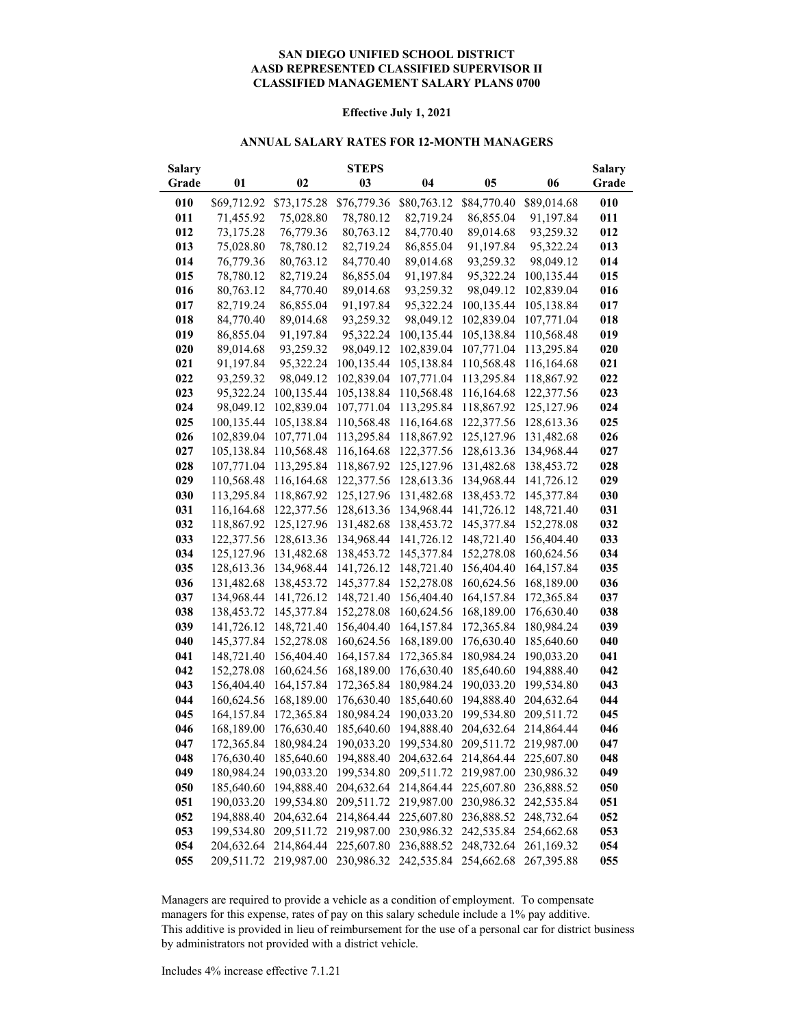#### **AASD REPRESENTED CLASSIFIED SUPERVISOR II CLASSIFIED MANAGEMENT SALARY PLANS 0700 SAN DIEGO UNIFIED SCHOOL DISTRICT**

#### **Effective July 1, 2021**

#### **ANNUAL SALARY RATES FOR 12-MONTH MANAGERS**

| Salary |             |             | <b>STEPS</b> |             |                                  |             | <b>Salary</b> |
|--------|-------------|-------------|--------------|-------------|----------------------------------|-------------|---------------|
| Grade  | 01          | 02          | 03           | 04          | 05                               | 06          | Grade         |
| 010    | \$69,712.92 | \$73,175.28 | \$76,779.36  | \$80,763.12 | \$84,770.40                      | \$89,014.68 | 010           |
| 011    | 71,455.92   | 75,028.80   | 78,780.12    | 82,719.24   | 86,855.04                        | 91,197.84   | 011           |
| 012    | 73,175.28   | 76,779.36   | 80,763.12    | 84,770.40   | 89,014.68                        | 93,259.32   | 012           |
| 013    | 75,028.80   | 78,780.12   | 82,719.24    | 86,855.04   | 91,197.84                        | 95,322.24   | 013           |
| 014    | 76,779.36   | 80,763.12   | 84,770.40    | 89,014.68   | 93,259.32                        | 98,049.12   | 014           |
| 015    | 78,780.12   | 82,719.24   | 86,855.04    | 91,197.84   | 95,322.24                        | 100,135.44  | 015           |
| 016    | 80,763.12   | 84,770.40   | 89,014.68    | 93,259.32   | 98,049.12                        | 102,839.04  | 016           |
| 017    | 82,719.24   | 86,855.04   | 91,197.84    | 95,322.24   | 100,135.44                       | 105,138.84  | 017           |
| 018    | 84,770.40   | 89,014.68   | 93,259.32    | 98,049.12   | 102,839.04                       | 107,771.04  | 018           |
| 019    | 86,855.04   | 91,197.84   | 95,322.24    | 100,135.44  | 105,138.84                       | 110,568.48  | 019           |
| 020    | 89,014.68   | 93,259.32   | 98,049.12    | 102,839.04  | 107,771.04                       | 113,295.84  | 020           |
| 021    | 91,197.84   | 95,322.24   | 100,135.44   | 105,138.84  | 110,568.48                       | 116,164.68  | 021           |
| 022    | 93,259.32   | 98,049.12   | 102,839.04   | 107,771.04  | 113,295.84                       | 118,867.92  | 022           |
| 023    | 95,322.24   | 100,135.44  | 105,138.84   | 110,568.48  | 116,164.68                       | 122,377.56  | 023           |
| 024    | 98,049.12   | 102,839.04  | 107,771.04   | 113,295.84  | 118,867.92                       | 125,127.96  | 024           |
| 025    | 100,135.44  | 105,138.84  | 110,568.48   | 116,164.68  | 122,377.56                       | 128,613.36  | 025           |
| 026    | 102,839.04  | 107,771.04  | 113,295.84   | 118,867.92  | 125, 127.96                      | 131,482.68  | 026           |
| 027    | 105,138.84  | 110,568.48  | 116,164.68   | 122,377.56  | 128,613.36                       | 134,968.44  | 027           |
| 028    | 107,771.04  | 113,295.84  | 118,867.92   | 125,127.96  | 131,482.68                       | 138,453.72  | 028           |
| 029    | 110,568.48  | 116,164.68  | 122,377.56   | 128,613.36  | 134,968.44                       | 141,726.12  | 029           |
| 030    | 113,295.84  | 118,867.92  | 125,127.96   | 131,482.68  | 138,453.72                       | 145,377.84  | 030           |
| 031    | 116,164.68  | 122,377.56  | 128,613.36   | 134,968.44  | 141,726.12                       | 148,721.40  | 031           |
| 032    | 118,867.92  | 125,127.96  | 131,482.68   | 138,453.72  | 145,377.84                       | 152,278.08  | 032           |
| 033    | 122,377.56  | 128,613.36  | 134,968.44   | 141,726.12  | 148,721.40                       | 156,404.40  | 033           |
| 034    | 125, 127.96 | 131,482.68  | 138,453.72   | 145,377.84  | 152,278.08                       | 160,624.56  | 034           |
| 035    | 128,613.36  | 134,968.44  | 141,726.12   | 148,721.40  | 156,404.40                       | 164,157.84  | 035           |
| 036    | 131,482.68  | 138,453.72  | 145,377.84   | 152,278.08  | 160,624.56                       | 168,189.00  | 036           |
| 037    | 134,968.44  | 141,726.12  | 148,721.40   | 156,404.40  | 164,157.84                       | 172,365.84  | 037           |
| 038    | 138,453.72  | 145,377.84  | 152,278.08   | 160,624.56  | 168,189.00                       | 176,630.40  | 038           |
| 039    | 141,726.12  | 148,721.40  | 156,404.40   | 164,157.84  | 172,365.84                       | 180,984.24  | 039           |
| 040    | 145,377.84  | 152,278.08  | 160,624.56   | 168,189.00  | 176,630.40                       | 185,640.60  | 040           |
| 041    | 148,721.40  | 156,404.40  | 164,157.84   | 172,365.84  | 180,984.24                       | 190,033.20  | 041           |
| 042    | 152,278.08  | 160,624.56  | 168,189.00   | 176,630.40  | 185,640.60                       | 194,888.40  | 042           |
| 043    | 156,404.40  | 164,157.84  | 172,365.84   | 180,984.24  | 190,033.20                       | 199,534.80  | 043           |
| 044    | 160,624.56  | 168,189.00  | 176,630.40   | 185,640.60  | 194,888.40                       | 204,632.64  | 044           |
| 045    | 164,157.84  | 172,365.84  | 180,984.24   | 190,033.20  | 199,534.80                       | 209,511.72  | 045           |
| 046    | 168,189.00  | 176,630.40  | 185,640.60   | 194,888.40  | 204,632.64                       | 214,864.44  | 046           |
| 047    | 172,365.84  | 180,984.24  | 190,033.20   |             | 199,534.80 209,511.72 219,987.00 |             | 047           |
| 048    | 176,630.40  | 185,640.60  | 194,888.40   |             | 204,632.64 214,864.44 225,607.80 |             | 048           |
| 049    | 180,984.24  | 190,033.20  | 199,534.80   | 209,511.72  | 219,987.00                       | 230,986.32  | 049           |
| 050    | 185,640.60  | 194,888.40  | 204,632.64   | 214,864.44  | 225,607.80                       | 236,888.52  | 050           |
| 051    | 190,033.20  | 199,534.80  | 209,511.72   | 219,987.00  | 230,986.32                       | 242,535.84  | 051           |
| 052    | 194,888.40  | 204,632.64  | 214,864.44   | 225,607.80  | 236,888.52                       | 248,732.64  | 052           |
| 053    | 199,534.80  | 209,511.72  | 219,987.00   | 230,986.32  | 242,535.84                       | 254,662.68  | 053           |
| 054    | 204,632.64  | 214,864.44  | 225,607.80   | 236,888.52  | 248,732.64                       | 261,169.32  | 054           |
| 055    | 209,511.72  | 219,987.00  | 230,986.32   |             | 242,535.84 254,662.68            | 267,395.88  | 055           |

Managers are required to provide a vehicle as a condition of employment. To compensate managers for this expense, rates of pay on this salary schedule include a 1% pay additive. This additive is provided in lieu of reimbursement for the use of a personal car for district business by administrators not provided with a district vehicle.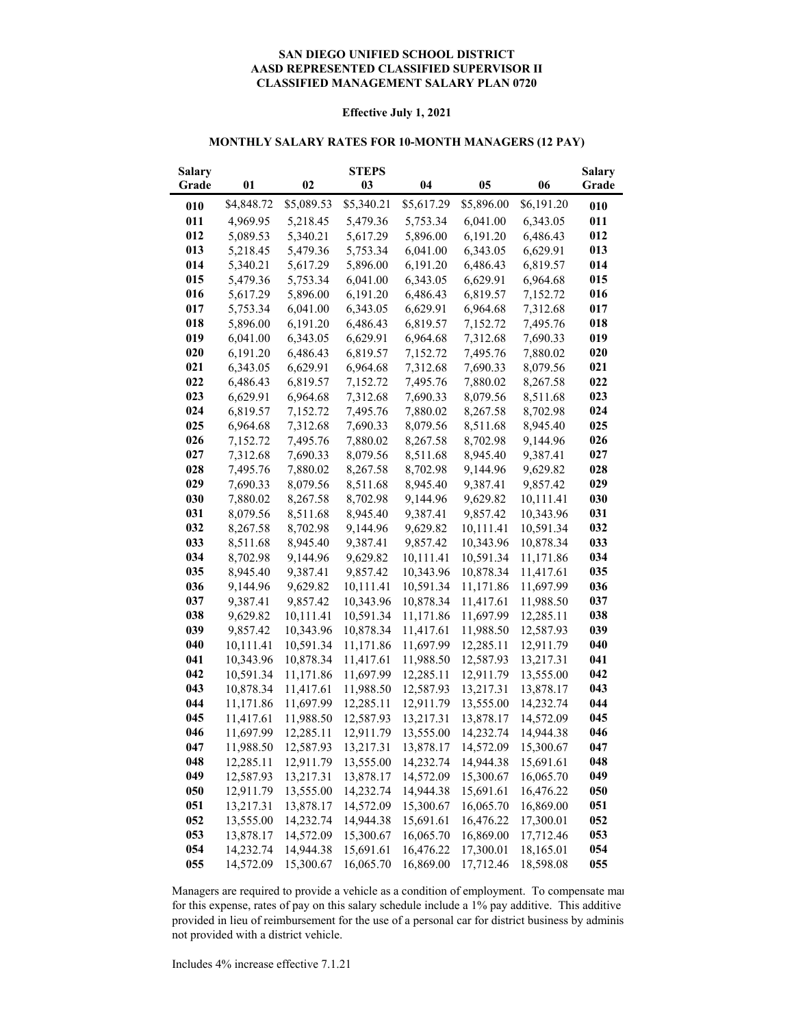#### **CLASSIFIED MANAGEMENT SALARY PLAN 0720 SAN DIEGO UNIFIED SCHOOL DISTRICT AASD REPRESENTED CLASSIFIED SUPERVISOR II**

#### **Effective July 1, 2021**

#### **MONTHLY SALARY RATES FOR 10-MONTH MANAGERS (12 PAY)**

| <b>Salary</b> |            |            | <b>STEPS</b> |            |                |            | <b>Salary</b> |
|---------------|------------|------------|--------------|------------|----------------|------------|---------------|
| Grade         | 01         | 02         | 03           | 04         | 0 <sub>5</sub> | 06         | Grade         |
| 010           | \$4,848.72 | \$5,089.53 | \$5,340.21   | \$5,617.29 | \$5,896.00     | \$6,191.20 | 010           |
| 011           | 4,969.95   | 5,218.45   | 5,479.36     | 5,753.34   | 6,041.00       | 6,343.05   | 011           |
| 012           | 5,089.53   | 5,340.21   | 5,617.29     | 5,896.00   | 6,191.20       | 6,486.43   | 012           |
| 013           | 5,218.45   | 5,479.36   | 5,753.34     | 6,041.00   | 6,343.05       | 6,629.91   | 013           |
| 014           | 5,340.21   | 5,617.29   | 5,896.00     | 6,191.20   | 6,486.43       | 6,819.57   | 014           |
| 015           | 5,479.36   | 5,753.34   | 6,041.00     | 6,343.05   | 6,629.91       | 6,964.68   | 015           |
| 016           | 5,617.29   | 5,896.00   | 6,191.20     | 6,486.43   | 6,819.57       | 7,152.72   | 016           |
| 017           | 5,753.34   | 6,041.00   | 6,343.05     | 6,629.91   | 6,964.68       | 7,312.68   | 017           |
| 018           | 5,896.00   | 6,191.20   | 6,486.43     | 6,819.57   | 7,152.72       | 7,495.76   | 018           |
| 019           | 6,041.00   | 6,343.05   | 6,629.91     | 6,964.68   | 7,312.68       | 7,690.33   | 019           |
| 020           | 6,191.20   | 6,486.43   | 6,819.57     | 7,152.72   | 7,495.76       | 7,880.02   | 020           |
| 021           | 6,343.05   | 6,629.91   | 6,964.68     | 7,312.68   | 7,690.33       | 8,079.56   | 021           |
| 022           | 6,486.43   | 6,819.57   | 7,152.72     | 7,495.76   | 7,880.02       | 8,267.58   | 022           |
| 023           | 6,629.91   | 6,964.68   | 7,312.68     | 7,690.33   | 8,079.56       | 8,511.68   | 023           |
| 024           | 6,819.57   | 7,152.72   | 7,495.76     | 7,880.02   | 8,267.58       | 8,702.98   | 024           |
| 025           | 6,964.68   | 7,312.68   | 7,690.33     | 8,079.56   | 8,511.68       | 8,945.40   | 025           |
| 026           | 7,152.72   | 7,495.76   | 7,880.02     | 8,267.58   | 8,702.98       | 9,144.96   | 026           |
| 027           | 7,312.68   | 7,690.33   | 8,079.56     | 8,511.68   | 8,945.40       | 9,387.41   | 027           |
| 028           | 7,495.76   | 7,880.02   | 8,267.58     | 8,702.98   | 9,144.96       | 9,629.82   | 028           |
| 029           | 7,690.33   | 8,079.56   | 8,511.68     | 8,945.40   | 9,387.41       | 9,857.42   | 029           |
| 030           | 7,880.02   | 8,267.58   | 8,702.98     | 9,144.96   | 9,629.82       | 10,111.41  | 030           |
| 031           | 8,079.56   | 8,511.68   | 8,945.40     | 9,387.41   | 9,857.42       | 10,343.96  | 031           |
| 032           | 8,267.58   | 8,702.98   | 9,144.96     | 9,629.82   | 10,111.41      | 10,591.34  | 032           |
| 033           | 8,511.68   | 8,945.40   | 9,387.41     | 9,857.42   | 10,343.96      | 10,878.34  | 033           |
| 034           | 8,702.98   | 9,144.96   | 9,629.82     | 10,111.41  | 10,591.34      | 11,171.86  | 034           |
| 035           | 8,945.40   | 9,387.41   | 9,857.42     | 10,343.96  | 10,878.34      | 11,417.61  | 035           |
| 036           | 9,144.96   | 9,629.82   | 10,111.41    | 10,591.34  | 11,171.86      | 11,697.99  | 036           |
| 037           | 9,387.41   | 9,857.42   | 10,343.96    | 10,878.34  | 11,417.61      | 11,988.50  | 037           |
| 038           | 9,629.82   | 10,111.41  | 10,591.34    | 11,171.86  | 11,697.99      | 12,285.11  | 038           |
| 039           | 9,857.42   | 10,343.96  | 10,878.34    | 11,417.61  | 11,988.50      | 12,587.93  | 039           |
| 040           | 10,111.41  | 10,591.34  | 11,171.86    | 11,697.99  | 12,285.11      | 12,911.79  | 040           |
| 041           | 10,343.96  | 10,878.34  | 11,417.61    | 11,988.50  | 12,587.93      | 13,217.31  | 041           |
| 042           | 10,591.34  | 11,171.86  | 11,697.99    | 12,285.11  | 12,911.79      | 13,555.00  | 042           |
| 043           | 10,878.34  | 11,417.61  | 11,988.50    | 12,587.93  | 13,217.31      | 13,878.17  | 043           |
| 044           | 11,171.86  | 11,697.99  | 12,285.11    | 12,911.79  | 13,555.00      | 14,232.74  | 044           |
| 045           | 11,417.61  | 11,988.50  | 12,587.93    | 13,217.31  | 13,878.17      | 14,572.09  | 045           |
| 046           | 11,697.99  | 12,285.11  | 12,911.79    | 13,555.00  | 14,232.74      | 14,944.38  | 046           |
| 047           | 11,988.50  | 12,587.93  | 13,217.31    | 13,878.17  | 14,572.09      | 15,300.67  | 047           |
| 048           | 12,285.11  | 12,911.79  | 13,555.00    | 14,232.74  | 14,944.38      | 15,691.61  | 048           |
| 049           | 12,587.93  | 13,217.31  | 13,878.17    | 14,572.09  | 15,300.67      | 16,065.70  | 049           |
| 050           | 12,911.79  | 13,555.00  | 14,232.74    | 14,944.38  | 15,691.61      | 16,476.22  | 050           |
| 051           | 13,217.31  | 13,878.17  | 14,572.09    | 15,300.67  | 16,065.70      | 16,869.00  | 051           |
| 052           | 13,555.00  | 14,232.74  | 14,944.38    | 15,691.61  | 16,476.22      | 17,300.01  | 052           |
| 053           | 13,878.17  | 14,572.09  | 15,300.67    | 16,065.70  | 16,869.00      | 17,712.46  | 053           |
| 054           | 14,232.74  | 14,944.38  | 15,691.61    | 16,476.22  | 17,300.01      | 18,165.01  | 054           |
| 055           | 14,572.09  | 15,300.67  | 16,065.70    | 16,869.00  | 17,712.46      | 18,598.08  | 055           |

Managers are required to provide a vehicle as a condition of employment. To compensate man for this expense, rates of pay on this salary schedule include a 1% pay additive. This additive provided in lieu of reimbursement for the use of a personal car for district business by adminis not provided with a district vehicle.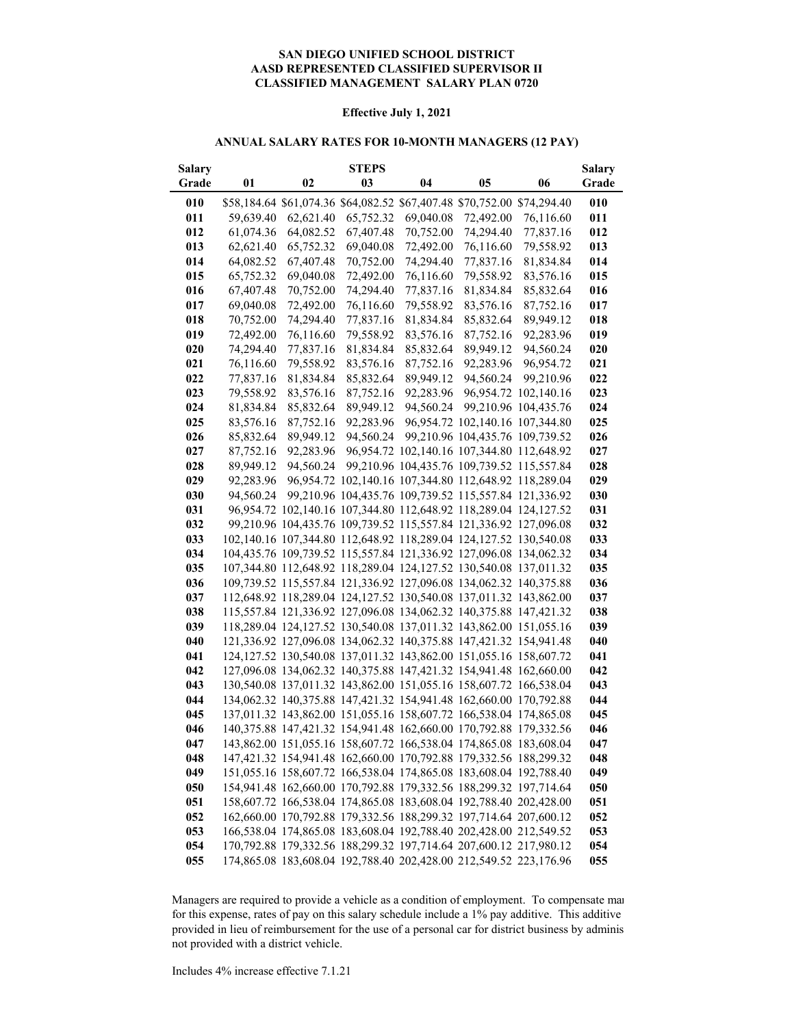#### **AASD REPRESENTED CLASSIFIED SUPERVISOR II CLASSIFIED MANAGEMENT SALARY PLAN 0720 SAN DIEGO UNIFIED SCHOOL DISTRICT**

#### **Effective July 1, 2021**

#### **ANNUAL SALARY RATES FOR 10-MONTH MANAGERS (12 PAY)**

| <b>Salary</b> |           |           | <b>STEPS</b> |           |                                                                                                                                        |                      | <b>Salary</b> |
|---------------|-----------|-----------|--------------|-----------|----------------------------------------------------------------------------------------------------------------------------------------|----------------------|---------------|
| Grade         | 01        | 02        | 03           | 04        | 05                                                                                                                                     | 06                   | Grade         |
| 010           |           |           |              |           | \$58,184.64 \$61,074.36 \$64,082.52 \$67,407.48 \$70,752.00 \$74,294.40                                                                |                      | 010           |
| 011           | 59,639.40 | 62,621.40 | 65,752.32    | 69,040.08 | 72,492.00                                                                                                                              | 76,116.60            | 011           |
| 012           | 61,074.36 | 64,082.52 | 67,407.48    | 70,752.00 | 74,294.40                                                                                                                              | 77,837.16            | 012           |
| 013           | 62,621.40 | 65,752.32 | 69,040.08    | 72,492.00 | 76,116.60                                                                                                                              | 79,558.92            | 013           |
| 014           | 64,082.52 | 67,407.48 | 70,752.00    | 74,294.40 | 77,837.16                                                                                                                              | 81,834.84            | 014           |
| 015           | 65,752.32 | 69,040.08 | 72,492.00    | 76,116.60 | 79,558.92                                                                                                                              | 83,576.16            | 015           |
| 016           | 67,407.48 | 70,752.00 | 74,294.40    | 77,837.16 | 81,834.84                                                                                                                              | 85,832.64            | 016           |
| 017           | 69,040.08 | 72,492.00 | 76,116.60    | 79,558.92 | 83,576.16                                                                                                                              | 87,752.16            | 017           |
| 018           | 70,752.00 | 74,294.40 | 77,837.16    | 81,834.84 | 85,832.64                                                                                                                              | 89,949.12            | 018           |
| 019           | 72,492.00 | 76,116.60 | 79,558.92    | 83,576.16 | 87,752.16                                                                                                                              | 92,283.96            | 019           |
| 020           | 74,294.40 | 77,837.16 | 81,834.84    | 85,832.64 | 89,949.12                                                                                                                              | 94,560.24            | 020           |
| 021           | 76,116.60 | 79,558.92 | 83,576.16    | 87,752.16 | 92,283.96                                                                                                                              | 96,954.72            | 021           |
| 022           | 77,837.16 | 81,834.84 | 85,832.64    | 89,949.12 | 94,560.24                                                                                                                              | 99,210.96            | 022           |
| 023           | 79,558.92 | 83,576.16 | 87,752.16    | 92,283.96 |                                                                                                                                        | 96,954.72 102,140.16 | 023           |
| 024           | 81,834.84 | 85,832.64 | 89,949.12    | 94,560.24 |                                                                                                                                        | 99,210.96 104,435.76 | 024           |
| 025           | 83,576.16 | 87,752.16 | 92,283.96    |           | 96,954.72 102,140.16 107,344.80                                                                                                        |                      | 025           |
| 026           | 85,832.64 | 89,949.12 | 94,560.24    |           | 99,210.96 104,435.76 109,739.52                                                                                                        |                      | 026           |
| 027           | 87,752.16 | 92,283.96 |              |           | 96,954.72 102,140.16 107,344.80 112,648.92                                                                                             |                      | 027           |
| 028           | 89,949.12 | 94,560.24 |              |           | 99,210.96 104,435.76 109,739.52 115,557.84                                                                                             |                      | 028           |
| 029           | 92,283.96 |           |              |           | 96,954.72 102,140.16 107,344.80 112,648.92 118,289.04                                                                                  |                      | 029           |
| 030           | 94,560.24 |           |              |           | 99,210.96 104,435.76 109,739.52 115,557.84 121,336.92                                                                                  |                      | 030           |
| 031           |           |           |              |           | 96,954.72 102,140.16 107,344.80 112,648.92 118,289.04 124,127.52                                                                       |                      | 031           |
| 032           |           |           |              |           | 99,210.96 104,435.76 109,739.52 115,557.84 121,336.92 127,096.08                                                                       |                      | 032           |
| 033           |           |           |              |           | 102,140.16 107,344.80 112,648.92 118,289.04 124,127.52 130,540.08                                                                      |                      | 033           |
| 034           |           |           |              |           | 104,435.76 109,739.52 115,557.84 121,336.92 127,096.08 134,062.32                                                                      |                      | 034           |
| 035           |           |           |              |           | 107,344.80 112,648.92 118,289.04 124,127.52 130,540.08 137,011.32                                                                      |                      | 035           |
| 036           |           |           |              |           | 109,739.52 115,557.84 121,336.92 127,096.08 134,062.32 140,375.88                                                                      |                      | 036           |
| 037           |           |           |              |           | 112,648.92 118,289.04 124,127.52 130,540.08 137,011.32 143,862.00                                                                      |                      | 037           |
| 038           |           |           |              |           | 115,557.84 121,336.92 127,096.08 134,062.32 140,375.88 147,421.32                                                                      |                      | 038           |
| 039           |           |           |              |           | 118,289.04 124,127.52 130,540.08 137,011.32 143,862.00 151,055.16                                                                      |                      | 039           |
| 040           |           |           |              |           | 121,336.92 127,096.08 134,062.32 140,375.88 147,421.32 154,941.48                                                                      |                      | 040           |
| 041           |           |           |              |           | 124, 127.52 130, 540.08 137, 011.32 143, 862.00 151, 055.16 158, 607.72                                                                |                      | 041           |
| 042           |           |           |              |           | 127,096.08 134,062.32 140,375.88 147,421.32 154,941.48 162,660.00                                                                      |                      | 042           |
| 043           |           |           |              |           | 130,540.08 137,011.32 143,862.00 151,055.16 158,607.72 166,538.04                                                                      |                      | 043           |
| 044           |           |           |              |           | 134,062.32 140,375.88 147,421.32 154,941.48 162,660.00 170,792.88                                                                      |                      | 044           |
| 045           |           |           |              |           | 137,011.32 143,862.00 151,055.16 158,607.72 166,538.04 174,865.08                                                                      |                      | 045           |
| 046<br>047    |           |           |              |           | 140,375.88 147,421.32 154,941.48 162,660.00 170,792.88 179,332.56                                                                      |                      | 046<br>047    |
|               |           |           |              |           | 143,862.00 151,055.16 158,607.72 166,538.04 174,865.08 183,608.04                                                                      |                      |               |
| 048           |           |           |              |           | 147,421.32 154,941.48 162,660.00 170,792.88 179,332.56 188,299.32                                                                      |                      | 048           |
| 049           |           |           |              |           | 151,055.16 158,607.72 166,538.04 174,865.08 183,608.04 192,788.40<br>154,941.48 162,660.00 170,792.88 179,332.56 188,299.32 197,714.64 |                      | 049           |
| 050<br>051    |           |           |              |           | 158,607.72 166,538.04 174,865.08 183,608.04 192,788.40 202,428.00                                                                      |                      | 050           |
| 052           |           |           |              |           | 162,660.00 170,792.88 179,332.56 188,299.32 197,714.64 207,600.12                                                                      |                      | 051<br>052    |
| 053           |           |           |              |           | 166,538.04 174,865.08 183,608.04 192,788.40 202,428.00 212,549.52                                                                      |                      | 053           |
| 054           |           |           |              |           | 170,792.88 179,332.56 188,299.32 197,714.64 207,600.12 217,980.12                                                                      |                      | 054           |
| 055           |           |           |              |           | 174,865.08 183,608.04 192,788.40 202,428.00 212,549.52 223,176.96                                                                      |                      | 055           |
|               |           |           |              |           |                                                                                                                                        |                      |               |

Managers are required to provide a vehicle as a condition of employment. To compensate man for this expense, rates of pay on this salary schedule include a 1% pay additive. This additive provided in lieu of reimbursement for the use of a personal car for district business by adminis not provided with a district vehicle.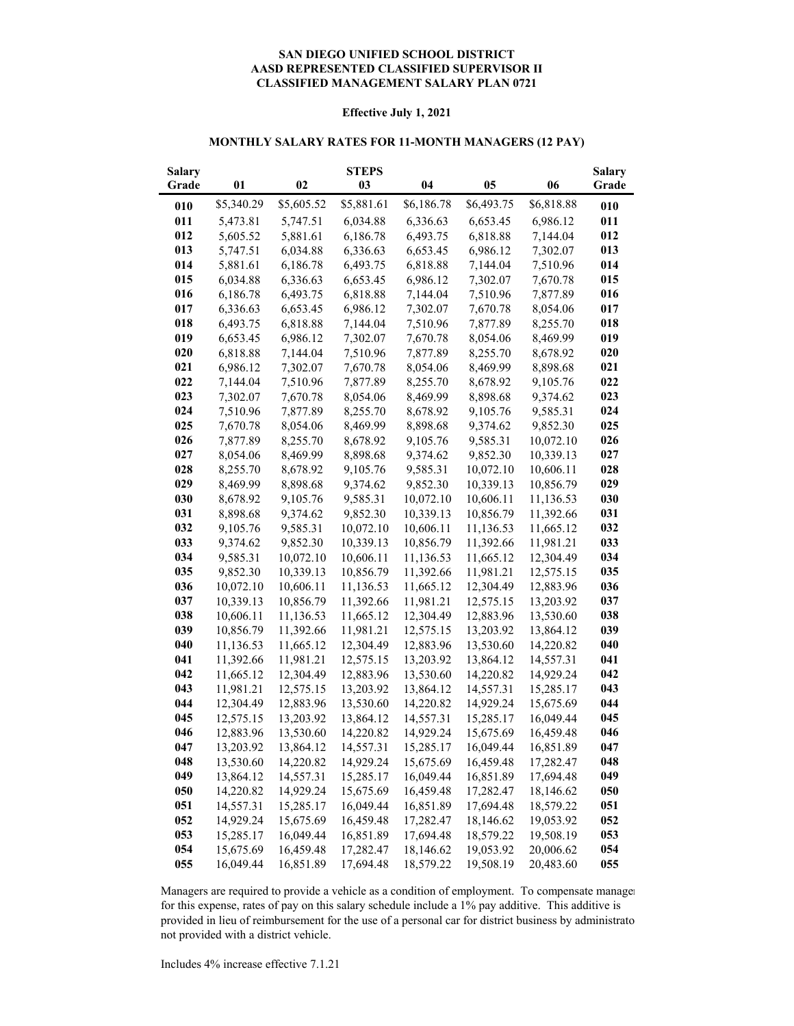#### **CLASSIFIED MANAGEMENT SALARY PLAN 0721 SAN DIEGO UNIFIED SCHOOL DISTRICT AASD REPRESENTED CLASSIFIED SUPERVISOR II**

#### **Effective July 1, 2021**

#### **MONTHLY SALARY RATES FOR 11-MONTH MANAGERS (12 PAY)**

| <b>Salary</b> |            |            | <b>STEPS</b> |            |            |            | <b>Salary</b> |
|---------------|------------|------------|--------------|------------|------------|------------|---------------|
| Grade         | 01         | 02         | 03           | 04         | 05         | 06         | Grade         |
| 010           | \$5,340.29 | \$5,605.52 | \$5,881.61   | \$6,186.78 | \$6,493.75 | \$6,818.88 | 010           |
| 011           | 5,473.81   | 5,747.51   | 6,034.88     | 6,336.63   | 6,653.45   | 6,986.12   | 011           |
| 012           | 5,605.52   | 5,881.61   | 6,186.78     | 6,493.75   | 6,818.88   | 7,144.04   | 012           |
| 013           | 5,747.51   | 6,034.88   | 6,336.63     | 6,653.45   | 6,986.12   | 7,302.07   | 013           |
| 014           | 5,881.61   | 6,186.78   | 6,493.75     | 6,818.88   | 7,144.04   | 7,510.96   | 014           |
| 015           | 6,034.88   | 6,336.63   | 6,653.45     | 6,986.12   | 7,302.07   | 7,670.78   | 015           |
| 016           | 6,186.78   | 6,493.75   | 6,818.88     | 7,144.04   | 7,510.96   | 7,877.89   | 016           |
| 017           | 6,336.63   | 6,653.45   | 6,986.12     | 7,302.07   | 7,670.78   | 8,054.06   | 017           |
| 018           | 6,493.75   | 6,818.88   | 7,144.04     | 7,510.96   | 7,877.89   | 8,255.70   | 018           |
| 019           | 6,653.45   | 6,986.12   | 7,302.07     | 7,670.78   | 8,054.06   | 8,469.99   | 019           |
| 020           | 6,818.88   | 7,144.04   | 7,510.96     | 7,877.89   | 8,255.70   | 8,678.92   | 020           |
| 021           | 6,986.12   | 7,302.07   | 7,670.78     | 8,054.06   | 8,469.99   | 8,898.68   | 021           |
| 022           | 7,144.04   | 7,510.96   | 7,877.89     | 8,255.70   | 8,678.92   | 9,105.76   | 022           |
| 023           | 7,302.07   | 7,670.78   | 8,054.06     | 8,469.99   | 8,898.68   | 9,374.62   | 023           |
| 024           | 7,510.96   | 7,877.89   | 8,255.70     | 8,678.92   | 9,105.76   | 9,585.31   | 024           |
| 025           | 7,670.78   | 8,054.06   | 8,469.99     | 8,898.68   | 9,374.62   | 9,852.30   | 025           |
| 026           | 7,877.89   | 8,255.70   | 8,678.92     | 9,105.76   | 9,585.31   | 10,072.10  | 026           |
| 027           | 8,054.06   | 8,469.99   | 8,898.68     | 9,374.62   | 9,852.30   | 10,339.13  | 027           |
| 028           | 8,255.70   | 8,678.92   | 9,105.76     | 9,585.31   | 10,072.10  | 10,606.11  | 028           |
| 029           | 8,469.99   | 8,898.68   | 9,374.62     | 9,852.30   | 10,339.13  | 10,856.79  | 029           |
| 030           | 8,678.92   | 9,105.76   | 9,585.31     | 10,072.10  | 10,606.11  | 11,136.53  | 030           |
| 031           | 8,898.68   | 9,374.62   | 9,852.30     | 10,339.13  | 10,856.79  | 11,392.66  | 031           |
| 032           | 9,105.76   | 9,585.31   | 10,072.10    | 10,606.11  | 11,136.53  | 11,665.12  | 032           |
| 033           | 9,374.62   | 9,852.30   | 10,339.13    | 10,856.79  | 11,392.66  | 11,981.21  | 033           |
| 034           | 9,585.31   | 10,072.10  | 10,606.11    | 11,136.53  | 11,665.12  | 12,304.49  | 034           |
| 035           | 9,852.30   | 10,339.13  | 10,856.79    | 11,392.66  | 11,981.21  | 12,575.15  | 035           |
| 036           | 10,072.10  | 10,606.11  | 11,136.53    | 11,665.12  | 12,304.49  | 12,883.96  | 036           |
| 037           | 10,339.13  | 10,856.79  | 11,392.66    | 11,981.21  | 12,575.15  | 13,203.92  | 037           |
| 038           | 10,606.11  | 11,136.53  | 11,665.12    | 12,304.49  | 12,883.96  | 13,530.60  | 038           |
| 039           | 10,856.79  | 11,392.66  | 11,981.21    | 12,575.15  | 13,203.92  | 13,864.12  | 039           |
| 040           | 11,136.53  | 11,665.12  | 12,304.49    | 12,883.96  | 13,530.60  | 14,220.82  | 040           |
| 041           | 11,392.66  | 11,981.21  | 12,575.15    | 13,203.92  | 13,864.12  | 14,557.31  | 041           |
| 042           | 11,665.12  | 12,304.49  | 12,883.96    | 13,530.60  | 14,220.82  | 14,929.24  | 042           |
| 043           | 11,981.21  | 12,575.15  | 13,203.92    | 13,864.12  | 14,557.31  | 15,285.17  | 043           |
| 044           | 12,304.49  | 12,883.96  | 13,530.60    | 14,220.82  | 14,929.24  | 15,675.69  | 044           |
| 045           | 12,575.15  | 13,203.92  | 13,864.12    | 14,557.31  | 15,285.17  | 16,049.44  | 045           |
| 046           | 12,883.96  | 13,530.60  | 14,220.82    | 14,929.24  | 15,675.69  | 16,459.48  | 046           |
| 047           | 13,203.92  | 13,864.12  | 14,557.31    | 15,285.17  | 16,049.44  | 16,851.89  | 047           |
| 048           | 13,530.60  | 14,220.82  | 14,929.24    | 15,675.69  | 16,459.48  | 17,282.47  | 048           |
| 049           | 13,864.12  | 14,557.31  | 15,285.17    | 16,049.44  | 16,851.89  | 17,694.48  | 049           |
| 050           | 14,220.82  | 14,929.24  | 15,675.69    | 16,459.48  | 17,282.47  | 18,146.62  | 050           |
| 051           | 14,557.31  | 15,285.17  | 16,049.44    | 16,851.89  | 17,694.48  | 18,579.22  | 051           |
| 052           | 14,929.24  | 15,675.69  | 16,459.48    | 17,282.47  | 18,146.62  | 19,053.92  | 052           |
| 053           | 15,285.17  | 16,049.44  | 16,851.89    | 17,694.48  | 18,579.22  | 19,508.19  | 053           |
| 054           | 15,675.69  | 16,459.48  | 17,282.47    | 18,146.62  | 19,053.92  | 20,006.62  | 054           |
| 055           | 16,049.44  | 16,851.89  | 17,694.48    | 18,579.22  | 19,508.19  | 20,483.60  | 055           |

Managers are required to provide a vehicle as a condition of employment. To compensate manager for this expense, rates of pay on this salary schedule include a 1% pay additive. This additive is provided in lieu of reimbursement for the use of a personal car for district business by administrato not provided with a district vehicle.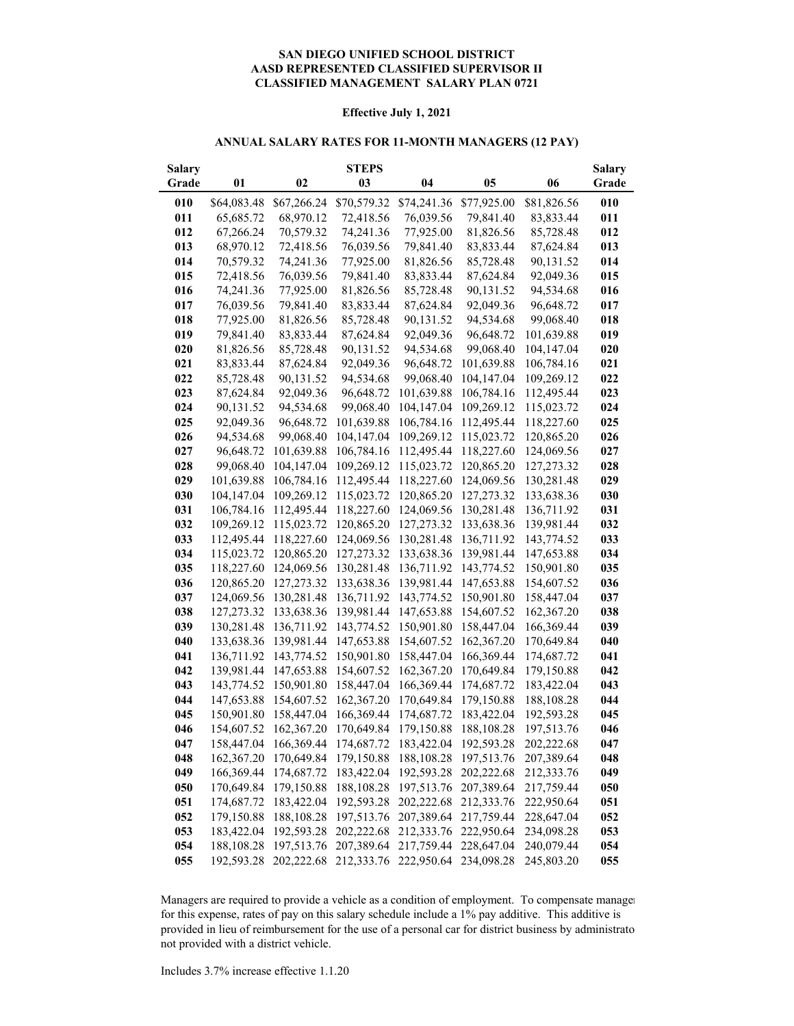#### **AASD REPRESENTED CLASSIFIED SUPERVISOR II CLASSIFIED MANAGEMENT SALARY PLAN 0721 SAN DIEGO UNIFIED SCHOOL DISTRICT**

#### **Effective July 1, 2021**

#### **ANNUAL SALARY RATES FOR 11-MONTH MANAGERS (12 PAY)**

| <b>Salary</b> |             |                       | <b>STEPS</b> |             |             |             | <b>Salary</b> |
|---------------|-------------|-----------------------|--------------|-------------|-------------|-------------|---------------|
| Grade         | 01          | 02                    | 03           | 04          | 05          | 06          | Grade         |
| 010           | \$64,083.48 | \$67,266.24           | \$70,579.32  | \$74,241.36 | \$77,925.00 | \$81,826.56 | 010           |
| 011           | 65,685.72   | 68,970.12             | 72,418.56    | 76,039.56   | 79,841.40   | 83,833.44   | 011           |
| 012           | 67,266.24   | 70,579.32             | 74,241.36    | 77,925.00   | 81,826.56   | 85,728.48   | 012           |
| 013           | 68,970.12   | 72,418.56             | 76,039.56    | 79,841.40   | 83,833.44   | 87,624.84   | 013           |
| 014           | 70,579.32   | 74,241.36             | 77,925.00    | 81,826.56   | 85,728.48   | 90,131.52   | 014           |
| 015           | 72,418.56   | 76,039.56             | 79,841.40    | 83,833.44   | 87,624.84   | 92,049.36   | 015           |
| 016           | 74,241.36   | 77,925.00             | 81,826.56    | 85,728.48   | 90,131.52   | 94,534.68   | 016           |
| 017           | 76,039.56   | 79,841.40             | 83,833.44    | 87,624.84   | 92,049.36   | 96,648.72   | 017           |
| 018           | 77,925.00   | 81,826.56             | 85,728.48    | 90,131.52   | 94,534.68   | 99,068.40   | 018           |
| 019           | 79,841.40   | 83,833.44             | 87,624.84    | 92,049.36   | 96,648.72   | 101,639.88  | 019           |
| 020           | 81,826.56   | 85,728.48             | 90,131.52    | 94,534.68   | 99,068.40   | 104,147.04  | 020           |
| 021           | 83,833.44   | 87,624.84             | 92,049.36    | 96,648.72   | 101,639.88  | 106,784.16  | 021           |
| 022           | 85,728.48   | 90,131.52             | 94,534.68    | 99,068.40   | 104,147.04  | 109,269.12  | 022           |
| 023           | 87,624.84   | 92,049.36             | 96,648.72    | 101,639.88  | 106,784.16  | 112,495.44  | 023           |
| 024           | 90,131.52   | 94,534.68             | 99,068.40    | 104,147.04  | 109,269.12  | 115,023.72  | 024           |
| 025           | 92,049.36   | 96,648.72             | 101,639.88   | 106,784.16  | 112,495.44  | 118,227.60  | 025           |
| 026           | 94,534.68   | 99,068.40             | 104,147.04   | 109,269.12  | 115,023.72  | 120,865.20  | 026           |
| 027           | 96,648.72   | 101,639.88            | 106,784.16   | 112,495.44  | 118,227.60  | 124,069.56  | 027           |
| 028           | 99,068.40   | 104,147.04            | 109,269.12   | 115,023.72  | 120,865.20  | 127,273.32  | 028           |
| 029           | 101,639.88  | 106,784.16            | 112,495.44   | 118,227.60  | 124,069.56  | 130,281.48  | 029           |
| 030           | 104,147.04  | 109,269.12            | 115,023.72   | 120,865.20  | 127,273.32  | 133,638.36  | 030           |
| 031           | 106,784.16  | 112,495.44            | 118,227.60   | 124,069.56  | 130,281.48  | 136,711.92  | 031           |
| 032           | 109,269.12  | 115,023.72            | 120,865.20   | 127,273.32  | 133,638.36  | 139,981.44  | 032           |
| 033           | 112,495.44  | 118,227.60            | 124,069.56   | 130,281.48  | 136,711.92  | 143,774.52  | 033           |
| 034           | 115,023.72  | 120,865.20            | 127,273.32   | 133,638.36  | 139,981.44  | 147,653.88  | 034           |
| 035           | 118,227.60  | 124,069.56            | 130,281.48   | 136,711.92  | 143,774.52  | 150,901.80  | 035           |
| 036           | 120,865.20  | 127,273.32            | 133,638.36   | 139,981.44  | 147,653.88  | 154,607.52  | 036           |
| 037           | 124,069.56  | 130,281.48            | 136,711.92   | 143,774.52  | 150,901.80  | 158,447.04  | 037           |
| 038           | 127,273.32  | 133,638.36            | 139,981.44   | 147,653.88  | 154,607.52  | 162,367.20  | 038           |
| 039           | 130,281.48  | 136,711.92            | 143,774.52   | 150,901.80  | 158,447.04  | 166,369.44  | 039           |
| 040           | 133,638.36  | 139,981.44            | 147,653.88   | 154,607.52  | 162,367.20  | 170,649.84  | 040           |
| 041           | 136,711.92  | 143,774.52            | 150,901.80   | 158,447.04  | 166,369.44  | 174,687.72  | 041           |
| 042           | 139,981.44  | 147,653.88            | 154,607.52   | 162,367.20  | 170,649.84  | 179,150.88  | 042           |
| 043           | 143,774.52  | 150,901.80            | 158,447.04   | 166,369.44  | 174,687.72  | 183,422.04  | 043           |
| 044           | 147,653.88  | 154,607.52            | 162,367.20   | 170,649.84  | 179,150.88  | 188,108.28  | 044           |
| 045           | 150,901.80  | 158,447.04            | 166,369.44   | 174,687.72  | 183,422.04  | 192,593.28  | 045           |
| 046           | 154,607.52  | 162,367.20            | 170,649.84   | 179,150.88  | 188,108.28  | 197,513.76  | 046           |
| 047           |             | 158,447.04 166,369.44 | 174,687.72   | 183,422.04  | 192,593.28  | 202,222.68  | 047           |
| 048           | 162,367.20  | 170,649.84            | 179,150.88   | 188,108.28  | 197,513.76  | 207,389.64  | 048           |
| 049           | 166,369.44  | 174,687.72            | 183,422.04   | 192,593.28  | 202,222.68  | 212,333.76  | 049           |
| 050           | 170,649.84  | 179,150.88            | 188,108.28   | 197,513.76  | 207,389.64  | 217,759.44  | 050           |
| 051           | 174,687.72  | 183,422.04            | 192,593.28   | 202,222.68  | 212,333.76  | 222,950.64  | 051           |
| 052           | 179,150.88  | 188,108.28            | 197,513.76   | 207,389.64  | 217,759.44  | 228,647.04  | 052           |
| 053           | 183,422.04  | 192,593.28            | 202,222.68   | 212,333.76  | 222,950.64  | 234,098.28  | 053           |
| 054           | 188,108.28  | 197,513.76            | 207,389.64   | 217,759.44  | 228,647.04  | 240,079.44  | 054           |
| 055           | 192,593.28  | 202,222.68            | 212,333.76   | 222,950.64  | 234,098.28  | 245,803.20  | 055           |

Managers are required to provide a vehicle as a condition of employment. To compensate manager for this expense, rates of pay on this salary schedule include a 1% pay additive. This additive is provided in lieu of reimbursement for the use of a personal car for district business by administrato not provided with a district vehicle.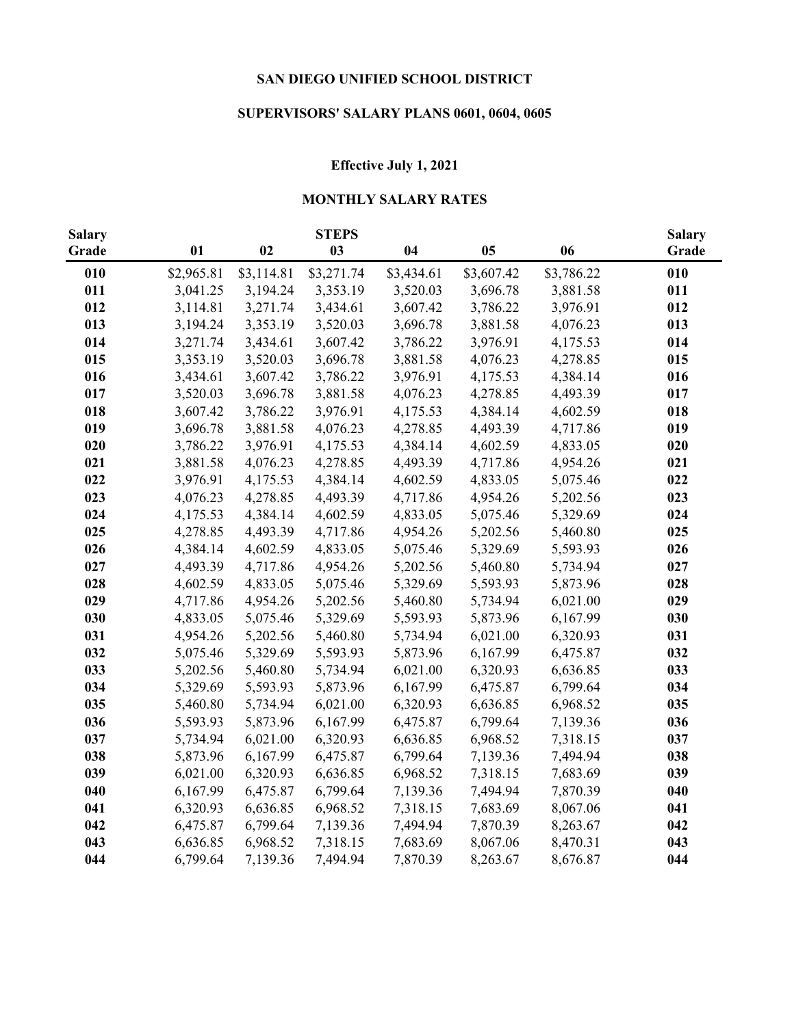# **SUPERVISORS' SALARY PLANS 0601, 0604, 0605**

## **Effective July 1, 2021**

## **MONTHLY SALARY RATES**

| <b>Salary</b> |            |            | <b>STEPS</b> |            |                |            | <b>Salary</b> |
|---------------|------------|------------|--------------|------------|----------------|------------|---------------|
| Grade         | 01         | 02         | 03           | 04         | 0 <sub>5</sub> | 06         | Grade         |
| 010           | \$2,965.81 | \$3,114.81 | \$3,271.74   | \$3,434.61 | \$3,607.42     | \$3,786.22 | 010           |
| 011           | 3,041.25   | 3,194.24   | 3,353.19     | 3,520.03   | 3,696.78       | 3,881.58   | 011           |
| 012           | 3,114.81   | 3,271.74   | 3,434.61     | 3,607.42   | 3,786.22       | 3,976.91   | 012           |
| 013           | 3,194.24   | 3,353.19   | 3,520.03     | 3,696.78   | 3,881.58       | 4,076.23   | 013           |
| 014           | 3,271.74   | 3,434.61   | 3,607.42     | 3,786.22   | 3,976.91       | 4,175.53   | 014           |
| 015           | 3,353.19   | 3,520.03   | 3,696.78     | 3,881.58   | 4,076.23       | 4,278.85   | 015           |
| 016           | 3,434.61   | 3,607.42   | 3,786.22     | 3,976.91   | 4,175.53       | 4,384.14   | 016           |
| 017           | 3,520.03   | 3,696.78   | 3,881.58     | 4,076.23   | 4,278.85       | 4,493.39   | 017           |
| 018           | 3,607.42   | 3,786.22   | 3,976.91     | 4,175.53   | 4,384.14       | 4,602.59   | 018           |
| 019           | 3,696.78   | 3,881.58   | 4,076.23     | 4,278.85   | 4,493.39       | 4,717.86   | 019           |
| 020           | 3,786.22   | 3,976.91   | 4,175.53     | 4,384.14   | 4,602.59       | 4,833.05   | 020           |
| 021           | 3,881.58   | 4,076.23   | 4,278.85     | 4,493.39   | 4,717.86       | 4,954.26   | 021           |
| 022           | 3,976.91   | 4,175.53   | 4,384.14     | 4,602.59   | 4,833.05       | 5,075.46   | 022           |
| 023           | 4,076.23   | 4,278.85   | 4,493.39     | 4,717.86   | 4,954.26       | 5,202.56   | 023           |
| 024           | 4,175.53   | 4,384.14   | 4,602.59     | 4,833.05   | 5,075.46       | 5,329.69   | 024           |
| 025           | 4,278.85   | 4,493.39   | 4,717.86     | 4,954.26   | 5,202.56       | 5,460.80   | 025           |
| 026           | 4,384.14   | 4,602.59   | 4,833.05     | 5,075.46   | 5,329.69       | 5,593.93   | 026           |
| 027           | 4,493.39   | 4,717.86   | 4,954.26     | 5,202.56   | 5,460.80       | 5,734.94   | 027           |
| 028           | 4,602.59   | 4,833.05   | 5,075.46     | 5,329.69   | 5,593.93       | 5,873.96   | 028           |
| 029           | 4,717.86   | 4,954.26   | 5,202.56     | 5,460.80   | 5,734.94       | 6,021.00   | 029           |
| 030           | 4,833.05   | 5,075.46   | 5,329.69     | 5,593.93   | 5,873.96       | 6,167.99   | 030           |
| 031           | 4,954.26   | 5,202.56   | 5,460.80     | 5,734.94   | 6,021.00       | 6,320.93   | 031           |
| 032           | 5,075.46   | 5,329.69   | 5,593.93     | 5,873.96   | 6,167.99       | 6,475.87   | 032           |
| 033           | 5,202.56   | 5,460.80   | 5,734.94     | 6,021.00   | 6,320.93       | 6,636.85   | 033           |
| 034           | 5,329.69   | 5,593.93   | 5,873.96     | 6,167.99   | 6,475.87       | 6,799.64   | 034           |
| 035           | 5,460.80   | 5,734.94   | 6,021.00     | 6,320.93   | 6,636.85       | 6,968.52   | 035           |
| 036           | 5,593.93   | 5,873.96   | 6,167.99     | 6,475.87   | 6,799.64       | 7,139.36   | 036           |
| 037           | 5,734.94   | 6,021.00   | 6,320.93     | 6,636.85   | 6,968.52       | 7,318.15   | 037           |
| 038           | 5,873.96   | 6,167.99   | 6,475.87     | 6,799.64   | 7,139.36       | 7,494.94   | 038           |
| 039           | 6,021.00   | 6,320.93   | 6,636.85     | 6,968.52   | 7,318.15       | 7,683.69   | 039           |
| 040           | 6,167.99   | 6,475.87   | 6,799.64     | 7,139.36   | 7,494.94       | 7,870.39   | 040           |
| 041           | 6,320.93   | 6,636.85   | 6,968.52     | 7,318.15   | 7,683.69       | 8,067.06   | 041           |
| 042           | 6,475.87   | 6,799.64   | 7,139.36     | 7,494.94   | 7,870.39       | 8,263.67   | 042           |
| 043           | 6,636.85   | 6,968.52   | 7,318.15     | 7,683.69   | 8,067.06       | 8,470.31   | 043           |
| 044           | 6,799.64   | 7,139.36   | 7,494.94     | 7,870.39   | 8,263.67       | 8,676.87   | 044           |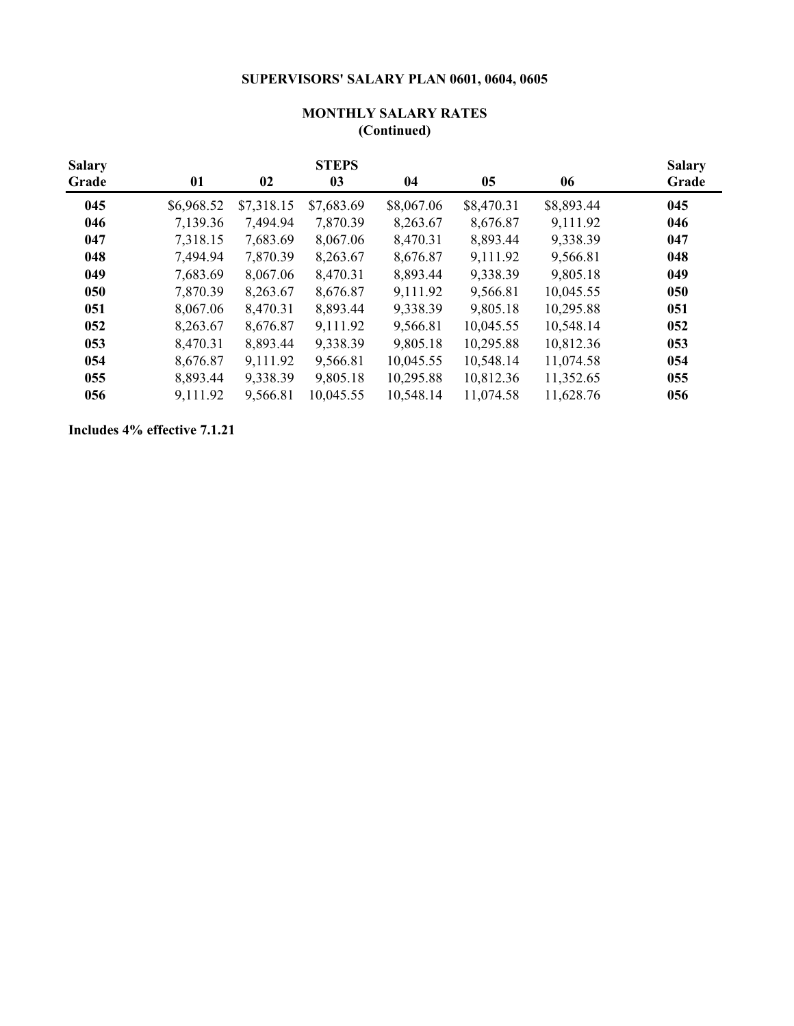## **SUPERVISORS' SALARY PLAN 0601, 0604, 0605**

| <b>Salary</b><br>Grade | 01         | 02         | <b>STEPS</b><br>03 | 04         | 05         | 06         | <b>Salary</b><br>Grade |
|------------------------|------------|------------|--------------------|------------|------------|------------|------------------------|
| 045                    | \$6,968.52 | \$7,318.15 | \$7,683.69         | \$8,067.06 | \$8,470.31 | \$8,893.44 | 045                    |
| 046                    | 7,139.36   | 7,494.94   | 7,870.39           | 8,263.67   | 8,676.87   | 9,111.92   | 046                    |
| 047                    | 7,318.15   | 7,683.69   | 8,067.06           | 8,470.31   | 8,893.44   | 9,338.39   | 047                    |
| 048                    | 7,494.94   | 7,870.39   | 8,263.67           | 8,676.87   | 9,111.92   | 9,566.81   | 048                    |
| 049                    | 7,683.69   | 8,067.06   | 8,470.31           | 8,893.44   | 9,338.39   | 9,805.18   | 049                    |
| 050                    | 7,870.39   | 8,263.67   | 8,676.87           | 9,111.92   | 9,566.81   | 10,045.55  | 050                    |
| 051                    | 8,067.06   | 8,470.31   | 8,893.44           | 9,338.39   | 9,805.18   | 10,295.88  | 051                    |
| 052                    | 8,263.67   | 8,676.87   | 9,111.92           | 9,566.81   | 10,045.55  | 10,548.14  | 052                    |
| 053                    | 8,470.31   | 8,893.44   | 9,338.39           | 9,805.18   | 10,295.88  | 10,812.36  | 053                    |
| 054                    | 8,676.87   | 9,111.92   | 9,566.81           | 10,045.55  | 10,548.14  | 11,074.58  | 054                    |
| 055                    | 8,893.44   | 9,338.39   | 9,805.18           | 10,295.88  | 10,812.36  | 11,352.65  | 055                    |
| 056                    | 9,111.92   | 9,566.81   | 10,045.55          | 10,548.14  | 11,074.58  | 11,628.76  | 056                    |

### **(Continued) MONTHLY SALARY RATES**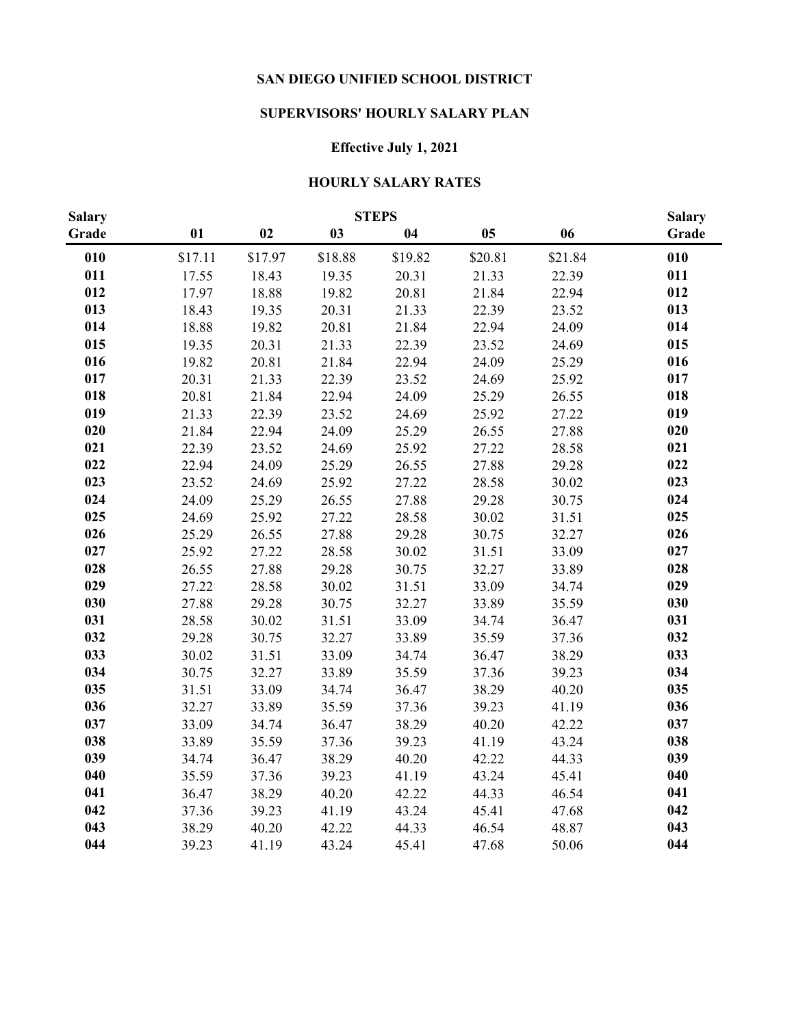## **SUPERVISORS' HOURLY SALARY PLAN**

# **Effective July 1, 2021**

### **HOURLY SALARY RATES**

| <b>Salary</b> |         |         |         | <b>STEPS</b> |         |         | <b>Salary</b> |
|---------------|---------|---------|---------|--------------|---------|---------|---------------|
| Grade         | 01      | 02      | 03      | 04           | 05      | 06      | Grade         |
| 010           | \$17.11 | \$17.97 | \$18.88 | \$19.82      | \$20.81 | \$21.84 | 010           |
| 011           | 17.55   | 18.43   | 19.35   | 20.31        | 21.33   | 22.39   | 011           |
| 012           | 17.97   | 18.88   | 19.82   | 20.81        | 21.84   | 22.94   | 012           |
| 013           | 18.43   | 19.35   | 20.31   | 21.33        | 22.39   | 23.52   | 013           |
| 014           | 18.88   | 19.82   | 20.81   | 21.84        | 22.94   | 24.09   | 014           |
| 015           | 19.35   | 20.31   | 21.33   | 22.39        | 23.52   | 24.69   | 015           |
| 016           | 19.82   | 20.81   | 21.84   | 22.94        | 24.09   | 25.29   | 016           |
| 017           | 20.31   | 21.33   | 22.39   | 23.52        | 24.69   | 25.92   | 017           |
| 018           | 20.81   | 21.84   | 22.94   | 24.09        | 25.29   | 26.55   | 018           |
| 019           | 21.33   | 22.39   | 23.52   | 24.69        | 25.92   | 27.22   | 019           |
| 020           | 21.84   | 22.94   | 24.09   | 25.29        | 26.55   | 27.88   | 020           |
| 021           | 22.39   | 23.52   | 24.69   | 25.92        | 27.22   | 28.58   | 021           |
| 022           | 22.94   | 24.09   | 25.29   | 26.55        | 27.88   | 29.28   | 022           |
| 023           | 23.52   | 24.69   | 25.92   | 27.22        | 28.58   | 30.02   | 023           |
| 024           | 24.09   | 25.29   | 26.55   | 27.88        | 29.28   | 30.75   | 024           |
| 025           | 24.69   | 25.92   | 27.22   | 28.58        | 30.02   | 31.51   | 025           |
| 026           | 25.29   | 26.55   | 27.88   | 29.28        | 30.75   | 32.27   | 026           |
| 027           | 25.92   | 27.22   | 28.58   | 30.02        | 31.51   | 33.09   | 027           |
| 028           | 26.55   | 27.88   | 29.28   | 30.75        | 32.27   | 33.89   | 028           |
| 029           | 27.22   | 28.58   | 30.02   | 31.51        | 33.09   | 34.74   | 029           |
| 030           | 27.88   | 29.28   | 30.75   | 32.27        | 33.89   | 35.59   | 030           |
| 031           | 28.58   | 30.02   | 31.51   | 33.09        | 34.74   | 36.47   | 031           |
| 032           | 29.28   | 30.75   | 32.27   | 33.89        | 35.59   | 37.36   | 032           |
| 033           | 30.02   | 31.51   | 33.09   | 34.74        | 36.47   | 38.29   | 033           |
| 034           | 30.75   | 32.27   | 33.89   | 35.59        | 37.36   | 39.23   | 034           |
| 035           | 31.51   | 33.09   | 34.74   | 36.47        | 38.29   | 40.20   | 035           |
| 036           | 32.27   | 33.89   | 35.59   | 37.36        | 39.23   | 41.19   | 036           |
| 037           | 33.09   | 34.74   | 36.47   | 38.29        | 40.20   | 42.22   | 037           |
| 038           | 33.89   | 35.59   | 37.36   | 39.23        | 41.19   | 43.24   | 038           |
| 039           | 34.74   | 36.47   | 38.29   | 40.20        | 42.22   | 44.33   | 039           |
| 040           | 35.59   | 37.36   | 39.23   | 41.19        | 43.24   | 45.41   | 040           |
| 041           | 36.47   | 38.29   | 40.20   | 42.22        | 44.33   | 46.54   | 041           |
| 042           | 37.36   | 39.23   | 41.19   | 43.24        | 45.41   | 47.68   | 042           |
| 043           | 38.29   | 40.20   | 42.22   | 44.33        | 46.54   | 48.87   | 043           |
| 044           | 39.23   | 41.19   | 43.24   | 45.41        | 47.68   | 50.06   | 044           |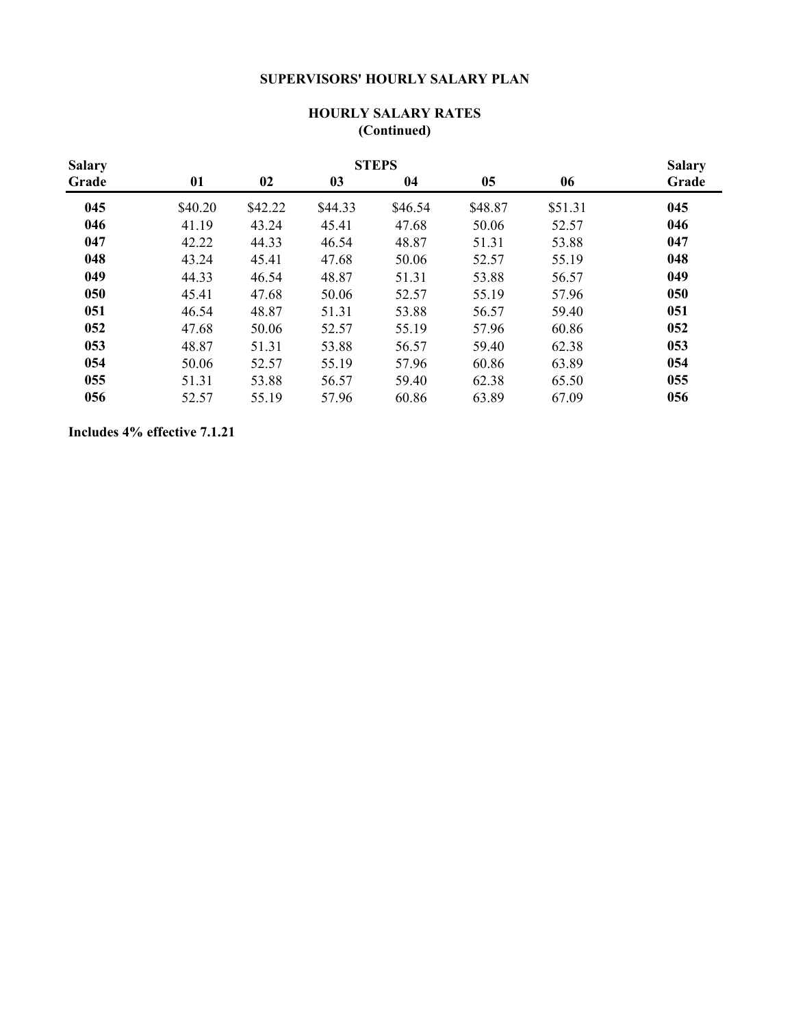## **SUPERVISORS' HOURLY SALARY PLAN**

| <b>Salary</b> |         | <b>STEPS</b> |         |         |         |         |       |  |  |  |
|---------------|---------|--------------|---------|---------|---------|---------|-------|--|--|--|
| Grade         | 01      | 02           | 03      | 04      | 05      | 06      | Grade |  |  |  |
| 045           | \$40.20 | \$42.22      | \$44.33 | \$46.54 | \$48.87 | \$51.31 | 045   |  |  |  |
| 046           | 41.19   | 43.24        | 45.41   | 47.68   | 50.06   | 52.57   | 046   |  |  |  |
| 047           | 42.22   | 44.33        | 46.54   | 48.87   | 51.31   | 53.88   | 047   |  |  |  |
| 048           | 43.24   | 45.41        | 47.68   | 50.06   | 52.57   | 55.19   | 048   |  |  |  |
| 049           | 44.33   | 46.54        | 48.87   | 51.31   | 53.88   | 56.57   | 049   |  |  |  |
| 050           | 45.41   | 47.68        | 50.06   | 52.57   | 55.19   | 57.96   | 050   |  |  |  |
| 051           | 46.54   | 48.87        | 51.31   | 53.88   | 56.57   | 59.40   | 051   |  |  |  |
| 052           | 47.68   | 50.06        | 52.57   | 55.19   | 57.96   | 60.86   | 052   |  |  |  |
| 053           | 48.87   | 51.31        | 53.88   | 56.57   | 59.40   | 62.38   | 053   |  |  |  |
| 054           | 50.06   | 52.57        | 55.19   | 57.96   | 60.86   | 63.89   | 054   |  |  |  |
| 055           | 51.31   | 53.88        | 56.57   | 59.40   | 62.38   | 65.50   | 055   |  |  |  |
| 056           | 52.57   | 55.19        | 57.96   | 60.86   | 63.89   | 67.09   | 056   |  |  |  |

### **HOURLY SALARY RATES (Continued)**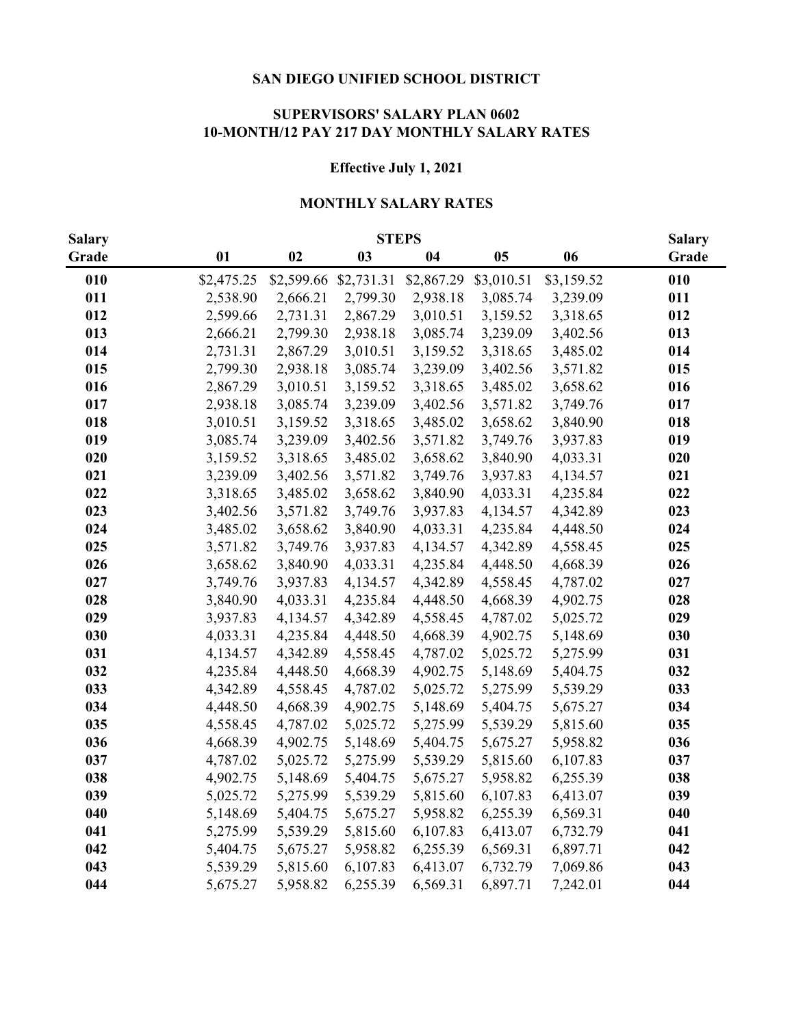#### **SUPERVISORS' SALARY PLAN 0602 10-MONTH/12 PAY 217 DAY MONTHLY SALARY RATES**

### **Effective July 1, 2021**

#### **MONTHLY SALARY RATES**

| <b>Salary</b> |            |            | <b>STEPS</b> |            |            |            | <b>Salary</b> |
|---------------|------------|------------|--------------|------------|------------|------------|---------------|
| Grade         | 01         | 02         | 03           | 04         | 05         | 06         | Grade         |
| 010           | \$2,475.25 | \$2,599.66 | \$2,731.31   | \$2,867.29 | \$3,010.51 | \$3,159.52 | 010           |
| 011           | 2,538.90   | 2,666.21   | 2,799.30     | 2,938.18   | 3,085.74   | 3,239.09   | 011           |
| 012           | 2,599.66   | 2,731.31   | 2,867.29     | 3,010.51   | 3,159.52   | 3,318.65   | 012           |
| 013           | 2,666.21   | 2,799.30   | 2,938.18     | 3,085.74   | 3,239.09   | 3,402.56   | 013           |
| 014           | 2,731.31   | 2,867.29   | 3,010.51     | 3,159.52   | 3,318.65   | 3,485.02   | 014           |
| 015           | 2,799.30   | 2,938.18   | 3,085.74     | 3,239.09   | 3,402.56   | 3,571.82   | 015           |
| 016           | 2,867.29   | 3,010.51   | 3,159.52     | 3,318.65   | 3,485.02   | 3,658.62   | 016           |
| 017           | 2,938.18   | 3,085.74   | 3,239.09     | 3,402.56   | 3,571.82   | 3,749.76   | 017           |
| 018           | 3,010.51   | 3,159.52   | 3,318.65     | 3,485.02   | 3,658.62   | 3,840.90   | 018           |
| 019           | 3,085.74   | 3,239.09   | 3,402.56     | 3,571.82   | 3,749.76   | 3,937.83   | 019           |
| 020           | 3,159.52   | 3,318.65   | 3,485.02     | 3,658.62   | 3,840.90   | 4,033.31   | 020           |
| 021           | 3,239.09   | 3,402.56   | 3,571.82     | 3,749.76   | 3,937.83   | 4,134.57   | 021           |
| 022           | 3,318.65   | 3,485.02   | 3,658.62     | 3,840.90   | 4,033.31   | 4,235.84   | 022           |
| 023           | 3,402.56   | 3,571.82   | 3,749.76     | 3,937.83   | 4,134.57   | 4,342.89   | 023           |
| 024           | 3,485.02   | 3,658.62   | 3,840.90     | 4,033.31   | 4,235.84   | 4,448.50   | 024           |
| 025           | 3,571.82   | 3,749.76   | 3,937.83     | 4,134.57   | 4,342.89   | 4,558.45   | 025           |
| 026           | 3,658.62   | 3,840.90   | 4,033.31     | 4,235.84   | 4,448.50   | 4,668.39   | 026           |
| 027           | 3,749.76   | 3,937.83   | 4,134.57     | 4,342.89   | 4,558.45   | 4,787.02   | 027           |
| 028           | 3,840.90   | 4,033.31   | 4,235.84     | 4,448.50   | 4,668.39   | 4,902.75   | 028           |
| 029           | 3,937.83   | 4,134.57   | 4,342.89     | 4,558.45   | 4,787.02   | 5,025.72   | 029           |
| 030           | 4,033.31   | 4,235.84   | 4,448.50     | 4,668.39   | 4,902.75   | 5,148.69   | 030           |
| 031           | 4,134.57   | 4,342.89   | 4,558.45     | 4,787.02   | 5,025.72   | 5,275.99   | 031           |
| 032           | 4,235.84   | 4,448.50   | 4,668.39     | 4,902.75   | 5,148.69   | 5,404.75   | 032           |
| 033           | 4,342.89   | 4,558.45   | 4,787.02     | 5,025.72   | 5,275.99   | 5,539.29   | 033           |
| 034           | 4,448.50   | 4,668.39   | 4,902.75     | 5,148.69   | 5,404.75   | 5,675.27   | 034           |
| 035           | 4,558.45   | 4,787.02   | 5,025.72     | 5,275.99   | 5,539.29   | 5,815.60   | 035           |
| 036           | 4,668.39   | 4,902.75   | 5,148.69     | 5,404.75   | 5,675.27   | 5,958.82   | 036           |
| 037           | 4,787.02   | 5,025.72   | 5,275.99     | 5,539.29   | 5,815.60   | 6,107.83   | 037           |
| 038           | 4,902.75   | 5,148.69   | 5,404.75     | 5,675.27   | 5,958.82   | 6,255.39   | 038           |
| 039           | 5,025.72   | 5,275.99   | 5,539.29     | 5,815.60   | 6,107.83   | 6,413.07   | 039           |
| 040           | 5,148.69   | 5,404.75   | 5,675.27     | 5,958.82   | 6,255.39   | 6,569.31   | 040           |
| 041           | 5,275.99   | 5,539.29   | 5,815.60     | 6,107.83   | 6,413.07   | 6,732.79   | 041           |
| 042           | 5,404.75   | 5,675.27   | 5,958.82     | 6,255.39   | 6,569.31   | 6,897.71   | 042           |
| 043           | 5,539.29   | 5,815.60   | 6,107.83     | 6,413.07   | 6,732.79   | 7,069.86   | 043           |
| 044           | 5,675.27   | 5,958.82   | 6,255.39     | 6,569.31   | 6,897.71   | 7,242.01   | 044           |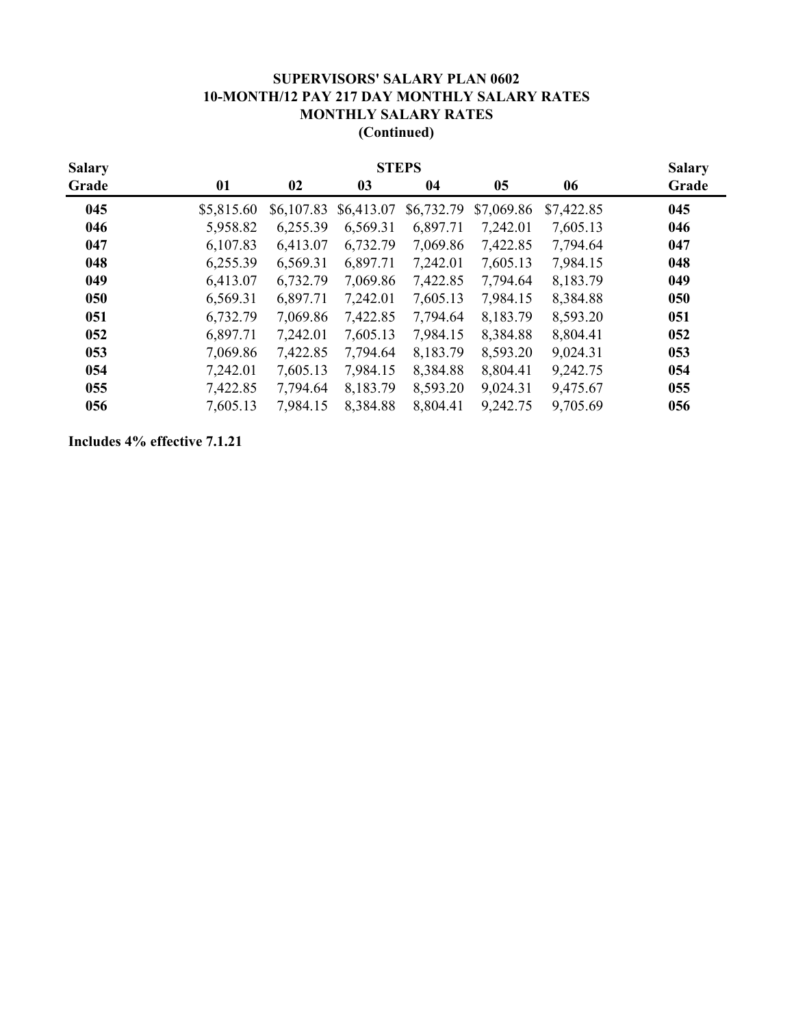## **(Continued) SUPERVISORS' SALARY PLAN 0602 10-MONTH/12 PAY 217 DAY MONTHLY SALARY RATES MONTHLY SALARY RATES**

| <b>Salary</b> |            | <b>STEPS</b> |            |            |            |            |       |  |  |
|---------------|------------|--------------|------------|------------|------------|------------|-------|--|--|
| Grade         | 01         | 02           | 03         | 04         | 05         | 06         | Grade |  |  |
| 045           | \$5,815.60 | \$6,107.83   | \$6,413.07 | \$6,732.79 | \$7,069.86 | \$7,422.85 | 045   |  |  |
| 046           | 5,958.82   | 6,255.39     | 6,569.31   | 6,897.71   | 7,242.01   | 7,605.13   | 046   |  |  |
| 047           | 6,107.83   | 6,413.07     | 6,732.79   | 7,069.86   | 7,422.85   | 7,794.64   | 047   |  |  |
| 048           | 6,255.39   | 6,569.31     | 6,897.71   | 7,242.01   | 7,605.13   | 7,984.15   | 048   |  |  |
| 049           | 6,413.07   | 6,732.79     | 7,069.86   | 7,422.85   | 7,794.64   | 8,183.79   | 049   |  |  |
| 050           | 6,569.31   | 6,897.71     | 7,242.01   | 7,605.13   | 7,984.15   | 8,384.88   | 050   |  |  |
| 051           | 6,732.79   | 7,069.86     | 7,422.85   | 7,794.64   | 8,183.79   | 8,593.20   | 051   |  |  |
| 052           | 6,897.71   | 7,242.01     | 7,605.13   | 7,984.15   | 8,384.88   | 8,804.41   | 052   |  |  |
| 053           | 7,069.86   | 7,422.85     | 7,794.64   | 8,183.79   | 8,593.20   | 9,024.31   | 053   |  |  |
| 054           | 7,242.01   | 7,605.13     | 7,984.15   | 8,384.88   | 8,804.41   | 9,242.75   | 054   |  |  |
| 055           | 7,422.85   | 7,794.64     | 8,183.79   | 8,593.20   | 9,024.31   | 9,475.67   | 055   |  |  |
| 056           | 7,605.13   | 7,984.15     | 8,384.88   | 8,804.41   | 9,242.75   | 9,705.69   | 056   |  |  |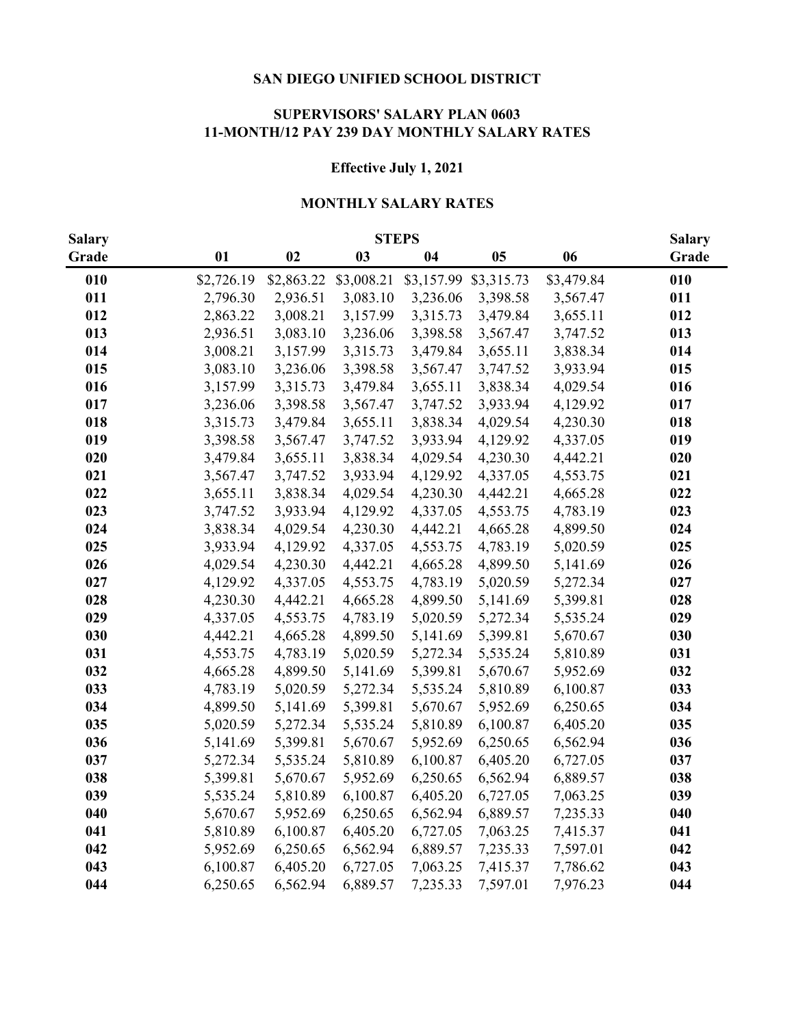#### **SUPERVISORS' SALARY PLAN 0603 11-MONTH/12 PAY 239 DAY MONTHLY SALARY RATES**

### **Effective July 1, 2021**

# **MONTHLY SALARY RATES**

| <b>Salary</b> |            | <b>Salary</b> |            |            |            |            |       |
|---------------|------------|---------------|------------|------------|------------|------------|-------|
| Grade         | 01         | 02            | 03         | 04         | 05         | 06         | Grade |
| 010           | \$2,726.19 | \$2,863.22    | \$3,008.21 | \$3,157.99 | \$3,315.73 | \$3,479.84 | 010   |
| 011           | 2,796.30   | 2,936.51      | 3,083.10   | 3,236.06   | 3,398.58   | 3,567.47   | 011   |
| 012           | 2,863.22   | 3,008.21      | 3,157.99   | 3,315.73   | 3,479.84   | 3,655.11   | 012   |
| 013           | 2,936.51   | 3,083.10      | 3,236.06   | 3,398.58   | 3,567.47   | 3,747.52   | 013   |
| 014           | 3,008.21   | 3,157.99      | 3,315.73   | 3,479.84   | 3,655.11   | 3,838.34   | 014   |
| 015           | 3,083.10   | 3,236.06      | 3,398.58   | 3,567.47   | 3,747.52   | 3,933.94   | 015   |
| 016           | 3,157.99   | 3,315.73      | 3,479.84   | 3,655.11   | 3,838.34   | 4,029.54   | 016   |
| 017           | 3,236.06   | 3,398.58      | 3,567.47   | 3,747.52   | 3,933.94   | 4,129.92   | 017   |
| 018           | 3,315.73   | 3,479.84      | 3,655.11   | 3,838.34   | 4,029.54   | 4,230.30   | 018   |
| 019           | 3,398.58   | 3,567.47      | 3,747.52   | 3,933.94   | 4,129.92   | 4,337.05   | 019   |
| 020           | 3,479.84   | 3,655.11      | 3,838.34   | 4,029.54   | 4,230.30   | 4,442.21   | 020   |
| 021           | 3,567.47   | 3,747.52      | 3,933.94   | 4,129.92   | 4,337.05   | 4,553.75   | 021   |
| 022           | 3,655.11   | 3,838.34      | 4,029.54   | 4,230.30   | 4,442.21   | 4,665.28   | 022   |
| 023           | 3,747.52   | 3,933.94      | 4,129.92   | 4,337.05   | 4,553.75   | 4,783.19   | 023   |
| 024           | 3,838.34   | 4,029.54      | 4,230.30   | 4,442.21   | 4,665.28   | 4,899.50   | 024   |
| 025           | 3,933.94   | 4,129.92      | 4,337.05   | 4,553.75   | 4,783.19   | 5,020.59   | 025   |
| 026           | 4,029.54   | 4,230.30      | 4,442.21   | 4,665.28   | 4,899.50   | 5,141.69   | 026   |
| 027           | 4,129.92   | 4,337.05      | 4,553.75   | 4,783.19   | 5,020.59   | 5,272.34   | 027   |
| 028           | 4,230.30   | 4,442.21      | 4,665.28   | 4,899.50   | 5,141.69   | 5,399.81   | 028   |
| 029           | 4,337.05   | 4,553.75      | 4,783.19   | 5,020.59   | 5,272.34   | 5,535.24   | 029   |
| 030           | 4,442.21   | 4,665.28      | 4,899.50   | 5,141.69   | 5,399.81   | 5,670.67   | 030   |
| 031           | 4,553.75   | 4,783.19      | 5,020.59   | 5,272.34   | 5,535.24   | 5,810.89   | 031   |
| 032           | 4,665.28   | 4,899.50      | 5,141.69   | 5,399.81   | 5,670.67   | 5,952.69   | 032   |
| 033           | 4,783.19   | 5,020.59      | 5,272.34   | 5,535.24   | 5,810.89   | 6,100.87   | 033   |
| 034           | 4,899.50   | 5,141.69      | 5,399.81   | 5,670.67   | 5,952.69   | 6,250.65   | 034   |
| 035           | 5,020.59   | 5,272.34      | 5,535.24   | 5,810.89   | 6,100.87   | 6,405.20   | 035   |
| 036           | 5,141.69   | 5,399.81      | 5,670.67   | 5,952.69   | 6,250.65   | 6,562.94   | 036   |
| 037           | 5,272.34   | 5,535.24      | 5,810.89   | 6,100.87   | 6,405.20   | 6,727.05   | 037   |
| 038           | 5,399.81   | 5,670.67      | 5,952.69   | 6,250.65   | 6,562.94   | 6,889.57   | 038   |
| 039           | 5,535.24   | 5,810.89      | 6,100.87   | 6,405.20   | 6,727.05   | 7,063.25   | 039   |
| 040           | 5,670.67   | 5,952.69      | 6,250.65   | 6,562.94   | 6,889.57   | 7,235.33   | 040   |
| 041           | 5,810.89   | 6,100.87      | 6,405.20   | 6,727.05   | 7,063.25   | 7,415.37   | 041   |
| 042           | 5,952.69   | 6,250.65      | 6,562.94   | 6,889.57   | 7,235.33   | 7,597.01   | 042   |
| 043           | 6,100.87   | 6,405.20      | 6,727.05   | 7,063.25   | 7,415.37   | 7,786.62   | 043   |
| 044           | 6,250.65   | 6,562.94      | 6,889.57   | 7,235.33   | 7,597.01   | 7,976.23   | 044   |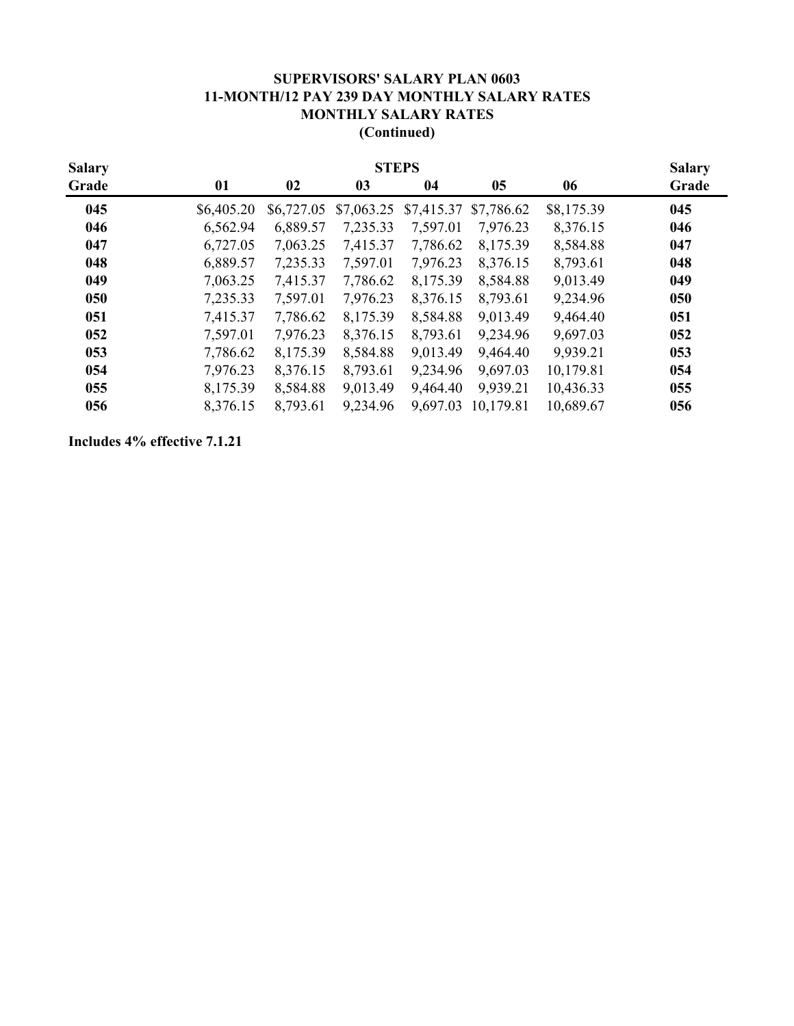### **(Continued) SUPERVISORS' SALARY PLAN 0603 11-MONTH/12 PAY 239 DAY MONTHLY SALARY RATES MONTHLY SALARY RATES**

| <b>Salary</b> | <b>STEPS</b> |            |                |            |            |            |       |  |
|---------------|--------------|------------|----------------|------------|------------|------------|-------|--|
| Grade         | 01           | 02         | 0 <sub>3</sub> | 04         | 05         | 06         | Grade |  |
| 045           | \$6,405.20   | \$6,727.05 | \$7,063.25     | \$7,415.37 | \$7,786.62 | \$8,175.39 | 045   |  |
| 046           | 6,562.94     | 6,889.57   | 7,235.33       | 7,597.01   | 7,976.23   | 8,376.15   | 046   |  |
| 047           | 6,727.05     | 7,063.25   | 7,415.37       | 7,786.62   | 8,175.39   | 8,584.88   | 047   |  |
| 048           | 6,889.57     | 7,235.33   | 7,597.01       | 7,976.23   | 8,376.15   | 8,793.61   | 048   |  |
| 049           | 7,063.25     | 7,415.37   | 7,786.62       | 8,175.39   | 8,584.88   | 9,013.49   | 049   |  |
| 050           | 7,235.33     | 7,597.01   | 7,976.23       | 8,376.15   | 8,793.61   | 9,234.96   | 050   |  |
| 051           | 7,415.37     | 7,786.62   | 8,175.39       | 8,584.88   | 9,013.49   | 9,464.40   | 051   |  |
| 052           | 7,597.01     | 7,976.23   | 8,376.15       | 8,793.61   | 9,234.96   | 9,697.03   | 052   |  |
| 053           | 7,786.62     | 8,175.39   | 8,584.88       | 9,013.49   | 9,464.40   | 9,939.21   | 053   |  |
| 054           | 7,976.23     | 8,376.15   | 8,793.61       | 9,234.96   | 9,697.03   | 10,179.81  | 054   |  |
| 055           | 8,175.39     | 8,584.88   | 9,013.49       | 9,464.40   | 9,939.21   | 10,436.33  | 055   |  |
| 056           | 8,376.15     | 8,793.61   | 9,234.96       | 9,697.03   | 10,179.81  | 10,689.67  | 056   |  |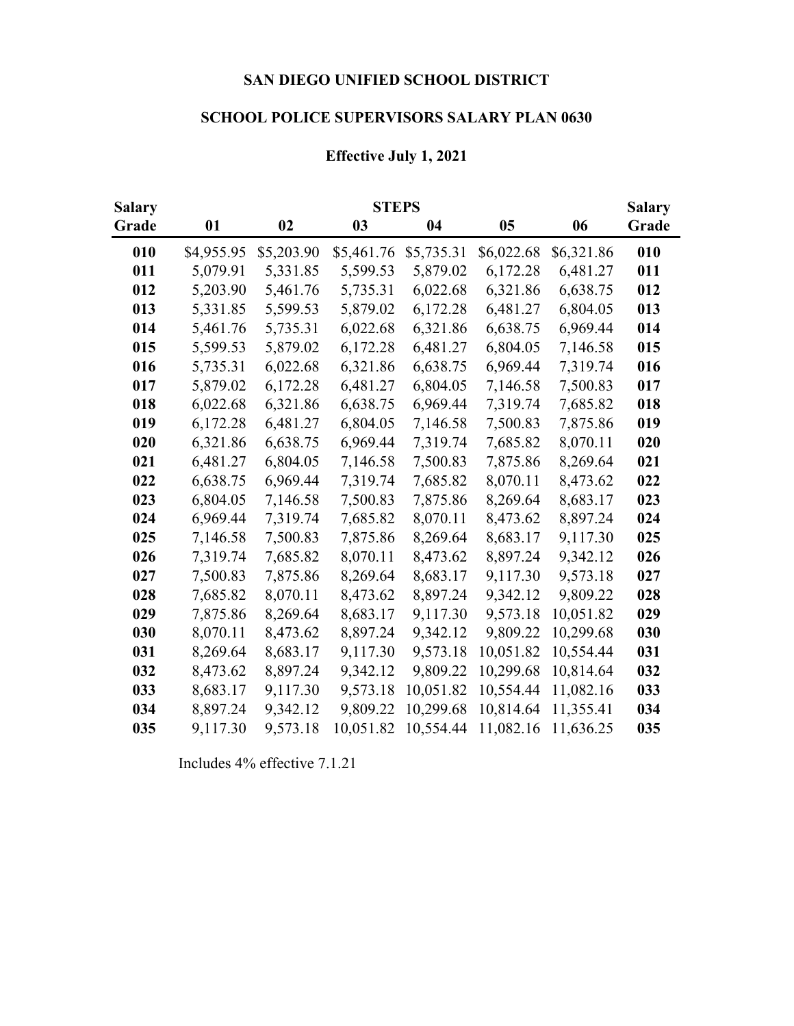# **SCHOOL POLICE SUPERVISORS SALARY PLAN 0630**

## **Effective July 1, 2021**

| <b>Salary</b> |            |            | <b>STEPS</b> |            |            |            | <b>Salary</b> |
|---------------|------------|------------|--------------|------------|------------|------------|---------------|
| Grade         | 01         | 02         | 03           | 04         | 05         | 06         | Grade         |
| 010           | \$4,955.95 | \$5,203.90 | \$5,461.76   | \$5,735.31 | \$6,022.68 | \$6,321.86 | 010           |
| 011           | 5,079.91   | 5,331.85   | 5,599.53     | 5,879.02   | 6,172.28   | 6,481.27   | 011           |
| 012           | 5,203.90   | 5,461.76   | 5,735.31     | 6,022.68   | 6,321.86   | 6,638.75   | 012           |
| 013           | 5,331.85   | 5,599.53   | 5,879.02     | 6,172.28   | 6,481.27   | 6,804.05   | 013           |
| 014           | 5,461.76   | 5,735.31   | 6,022.68     | 6,321.86   | 6,638.75   | 6,969.44   | 014           |
| 015           | 5,599.53   | 5,879.02   | 6,172.28     | 6,481.27   | 6,804.05   | 7,146.58   | 015           |
| 016           | 5,735.31   | 6,022.68   | 6,321.86     | 6,638.75   | 6,969.44   | 7,319.74   | 016           |
| 017           | 5,879.02   | 6,172.28   | 6,481.27     | 6,804.05   | 7,146.58   | 7,500.83   | 017           |
| 018           | 6,022.68   | 6,321.86   | 6,638.75     | 6,969.44   | 7,319.74   | 7,685.82   | 018           |
| 019           | 6,172.28   | 6,481.27   | 6,804.05     | 7,146.58   | 7,500.83   | 7,875.86   | 019           |
| 020           | 6,321.86   | 6,638.75   | 6,969.44     | 7,319.74   | 7,685.82   | 8,070.11   | 020           |
| 021           | 6,481.27   | 6,804.05   | 7,146.58     | 7,500.83   | 7,875.86   | 8,269.64   | 021           |
| 022           | 6,638.75   | 6,969.44   | 7,319.74     | 7,685.82   | 8,070.11   | 8,473.62   | 022           |
| 023           | 6,804.05   | 7,146.58   | 7,500.83     | 7,875.86   | 8,269.64   | 8,683.17   | 023           |
| 024           | 6,969.44   | 7,319.74   | 7,685.82     | 8,070.11   | 8,473.62   | 8,897.24   | 024           |
| 025           | 7,146.58   | 7,500.83   | 7,875.86     | 8,269.64   | 8,683.17   | 9,117.30   | 025           |
| 026           | 7,319.74   | 7,685.82   | 8,070.11     | 8,473.62   | 8,897.24   | 9,342.12   | 026           |
| 027           | 7,500.83   | 7,875.86   | 8,269.64     | 8,683.17   | 9,117.30   | 9,573.18   | 027           |
| 028           | 7,685.82   | 8,070.11   | 8,473.62     | 8,897.24   | 9,342.12   | 9,809.22   | 028           |
| 029           | 7,875.86   | 8,269.64   | 8,683.17     | 9,117.30   | 9,573.18   | 10,051.82  | 029           |
| 030           | 8,070.11   | 8,473.62   | 8,897.24     | 9,342.12   | 9,809.22   | 10,299.68  | 030           |
| 031           | 8,269.64   | 8,683.17   | 9,117.30     | 9,573.18   | 10,051.82  | 10,554.44  | 031           |
| 032           | 8,473.62   | 8,897.24   | 9,342.12     | 9,809.22   | 10,299.68  | 10,814.64  | 032           |
| 033           | 8,683.17   | 9,117.30   | 9,573.18     | 10,051.82  | 10,554.44  | 11,082.16  | 033           |
| 034           | 8,897.24   | 9,342.12   | 9,809.22     | 10,299.68  | 10,814.64  | 11,355.41  | 034           |
| 035           | 9,117.30   | 9,573.18   | 10,051.82    | 10,554.44  | 11,082.16  | 11,636.25  | 035           |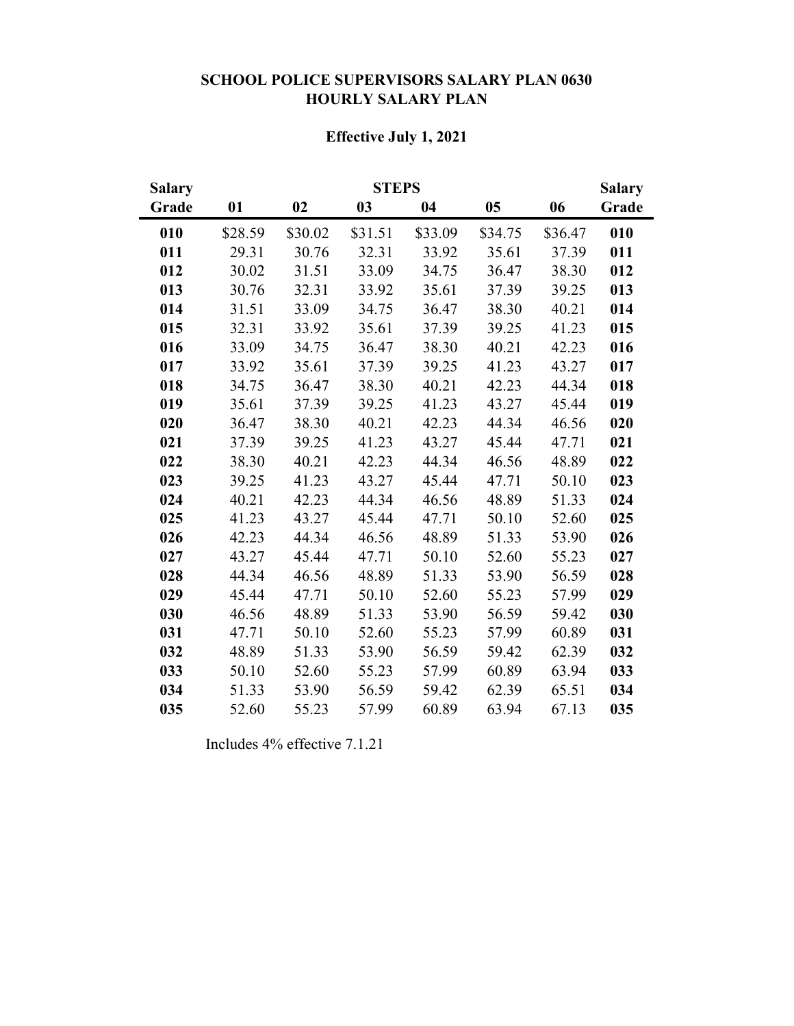# **SCHOOL POLICE SUPERVISORS SALARY PLAN 0630 HOURLY SALARY PLAN**

## **Effective July 1, 2021**

| <b>Salary</b> |         |         | <b>STEPS</b> |         |         |         | <b>Salary</b> |
|---------------|---------|---------|--------------|---------|---------|---------|---------------|
| Grade         | 01      | 02      | 03           | 04      | 05      | 06      | Grade         |
| 010           | \$28.59 | \$30.02 | \$31.51      | \$33.09 | \$34.75 | \$36.47 | 010           |
| 011           | 29.31   | 30.76   | 32.31        | 33.92   | 35.61   | 37.39   | 011           |
| 012           | 30.02   | 31.51   | 33.09        | 34.75   | 36.47   | 38.30   | 012           |
| 013           | 30.76   | 32.31   | 33.92        | 35.61   | 37.39   | 39.25   | 013           |
| 014           | 31.51   | 33.09   | 34.75        | 36.47   | 38.30   | 40.21   | 014           |
| 015           | 32.31   | 33.92   | 35.61        | 37.39   | 39.25   | 41.23   | 015           |
| 016           | 33.09   | 34.75   | 36.47        | 38.30   | 40.21   | 42.23   | 016           |
| 017           | 33.92   | 35.61   | 37.39        | 39.25   | 41.23   | 43.27   | 017           |
| 018           | 34.75   | 36.47   | 38.30        | 40.21   | 42.23   | 44.34   | 018           |
| 019           | 35.61   | 37.39   | 39.25        | 41.23   | 43.27   | 45.44   | 019           |
| 020           | 36.47   | 38.30   | 40.21        | 42.23   | 44.34   | 46.56   | 020           |
| 021           | 37.39   | 39.25   | 41.23        | 43.27   | 45.44   | 47.71   | 021           |
| 022           | 38.30   | 40.21   | 42.23        | 44.34   | 46.56   | 48.89   | 022           |
| 023           | 39.25   | 41.23   | 43.27        | 45.44   | 47.71   | 50.10   | 023           |
| 024           | 40.21   | 42.23   | 44.34        | 46.56   | 48.89   | 51.33   | 024           |
| 025           | 41.23   | 43.27   | 45.44        | 47.71   | 50.10   | 52.60   | 025           |
| 026           | 42.23   | 44.34   | 46.56        | 48.89   | 51.33   | 53.90   | 026           |
| 027           | 43.27   | 45.44   | 47.71        | 50.10   | 52.60   | 55.23   | 027           |
| 028           | 44.34   | 46.56   | 48.89        | 51.33   | 53.90   | 56.59   | 028           |
| 029           | 45.44   | 47.71   | 50.10        | 52.60   | 55.23   | 57.99   | 029           |
| 030           | 46.56   | 48.89   | 51.33        | 53.90   | 56.59   | 59.42   | 030           |
| 031           | 47.71   | 50.10   | 52.60        | 55.23   | 57.99   | 60.89   | 031           |
| 032           | 48.89   | 51.33   | 53.90        | 56.59   | 59.42   | 62.39   | 032           |
| 033           | 50.10   | 52.60   | 55.23        | 57.99   | 60.89   | 63.94   | 033           |
| 034           | 51.33   | 53.90   | 56.59        | 59.42   | 62.39   | 65.51   | 034           |
| 035           | 52.60   | 55.23   | 57.99        | 60.89   | 63.94   | 67.13   | 035           |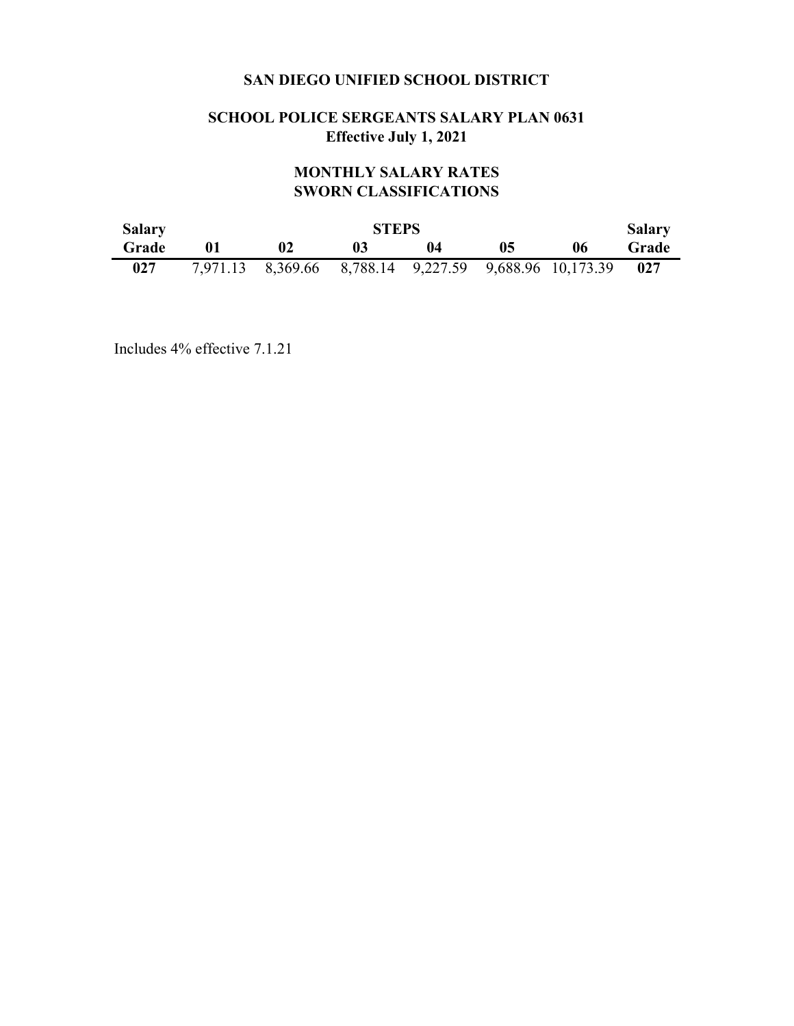## **SCHOOL POLICE SERGEANTS SALARY PLAN 0631 Effective July 1, 2021**

# **MONTHLY SALARY RATES SWORN CLASSIFICATIONS**

| <b>Salary</b> |    | <b>STEPS</b>                                           |  |    |    |    |       |  |  |  |
|---------------|----|--------------------------------------------------------|--|----|----|----|-------|--|--|--|
| Grade         | 01 |                                                        |  | 04 | 05 | 06 | Grade |  |  |  |
| 027           |    | 7,971.13 8,369.66 8,788.14 9,227.59 9,688.96 10,173.39 |  |    |    |    | 027   |  |  |  |